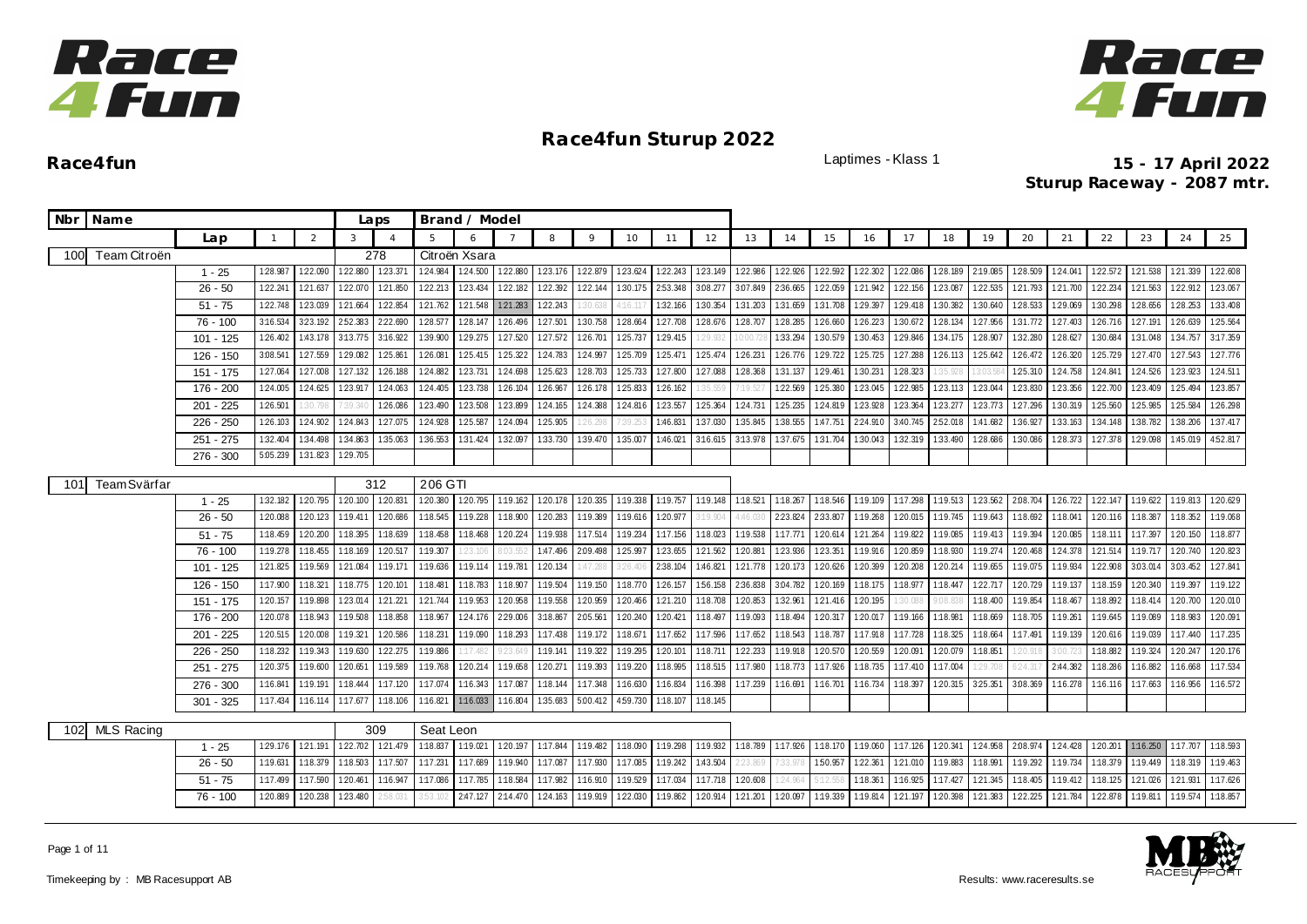



|     | Nbr Name            |                                      |                                  |                      |                                         | Laps                 |                      | Brand / Model                             |                      |                                  |                                  |                      |                                           |                                  |                                 |                               |                     |                                  |                      |                                         |                      |                                         |                                  |                                 |                                  |                                          |                      |
|-----|---------------------|--------------------------------------|----------------------------------|----------------------|-----------------------------------------|----------------------|----------------------|-------------------------------------------|----------------------|----------------------------------|----------------------------------|----------------------|-------------------------------------------|----------------------------------|---------------------------------|-------------------------------|---------------------|----------------------------------|----------------------|-----------------------------------------|----------------------|-----------------------------------------|----------------------------------|---------------------------------|----------------------------------|------------------------------------------|----------------------|
|     |                     | Lap                                  | $\mathbf{1}$                     | $\overline{2}$       | 3                                       | $\overline{4}$       |                      | 6                                         |                      | 8                                | 9                                | 10                   | 11                                        | 12                               | 13                              | 14                            | 15                  | 16                               | 17                   | 18                                      | 19                   | 20                                      | 21                               | 22                              | 23                               | 24                                       | 25                   |
| 100 | Team Citroën        |                                      |                                  |                      |                                         | 278                  |                      | Citroën Xsara                             |                      |                                  |                                  |                      |                                           |                                  |                                 |                               |                     |                                  |                      |                                         |                      |                                         |                                  |                                 |                                  |                                          |                      |
|     |                     | $1 - 25$                             | 1:28.987                         | 122.090              | 122.880                                 | 123.37               | 124.984              | 1:24.500                                  | 122.880              | 123.176                          | 122.879                          | 123.624              | 122.243                                   | 123.149                          | 122.986                         | 122.926                       | 1:22.592            | 122.302                          | 122.086              | 1:28.189                                | 2:19.085             | 1:28.509                                | 1:24.04                          | 122.572                         | 1:21.538                         | 121.339                                  | 122.608              |
|     |                     | $26 - 50$                            | 1:22.241                         | 121.637              | 122.070                                 | 121.850              | 122.213              | 123.434                                   | 1:22.182             | 1:22.392                         | 1:22.144                         | 1:30.175             | 253.348                                   | 3:08.277                         | 3.07.849                        | 2:36.665                      | 122.059             | 1:21.942                         | 1:22.156             | 123.087                                 | 1:22.535             | 121.793                                 | 1:21.700                         | 122.234                         | 1:21.563                         | 122.912                                  | 123.067              |
|     |                     | $51 - 75$                            | 1:22.748                         | 1:23.039             | 1:21.664                                | 122.854              | 1:21.762             | 1:21.548                                  | 1:21.283             | 1:22.243                         |                                  | 1:16.111             | 1:32.166                                  | 1:30.354                         | 1:31.203                        | 1:31.659                      | 1:31.708            | 1:29.397                         | 1:29.418             | 1:30.382                                | 1:30.640             | 1:28.533                                | 1:29.069                         | 1:30.298                        | 128.656                          | 1:28.253                                 | 1:33.408             |
|     |                     | $76 - 100$                           | 3:16.534                         |                      | 323.192 252.383                         | 2:22.690             | 128.577              | 1:28.147                                  | 1:26.496             | 127.501                          | 1:30.758                         | 128.664              | 1:27.708                                  | 128.676                          | 128.707                         | 1:28.285                      | 126.660             | 126.223                          | 1:30.672             | 128.134                                 | 1:27.956             | 1:31.772                                | 127.403                          | 126.716                         | 1:27.191                         | 126.639                                  | 1:25.564             |
|     |                     | 101 - 125                            | 1:26.402                         |                      | 1:43.178 3:13.775                       | 3:16.922             | 1:39.900             | 1:29.275                                  | 127.520              | 127.572                          | 1:26.701                         | 1:25.737             | 1:29.415                                  | 29.932                           |                                 | 1:33.294                      | 1:30.579            | 1:30.453                         | 129.846              | 1:34.175                                | 1:28.907             | 1:32.280                                | 1:28.627                         | 1:30.684                        | 1:31.048                         | 1:34.757                                 | 3:17.359             |
|     |                     | 126 - 150                            | 3:08.541                         | 1:27.559             | 129.082                                 | 1:25.861             | 126.081              | 1:25.415                                  | 125.322              | 124.783                          | 1:24.997                         | 1:25.709             | 125.471                                   | 125.474                          | 126.231                         | 126.776                       | 129.722             | 125.725                          | 1:27.288             | 126.113                                 | 1:25.642             | 126.472                                 | 1:26.320                         | 125.729                         | 127.470                          | 127.543                                  | 127.776              |
|     |                     | 151 - 175                            | 1:27.064                         | 1:27.008             | 127.132                                 | 126.188              | 1:24.882             | 1:23.731                                  | 124.698              | 125.623                          | 1:28.703                         | 125.733              | 1:27.800                                  | 1:27.088                         | 1:28.368                        | 1:31.137                      | 1:29.461            | 1:30.231                         | 1:28.323             | 35.928                                  | 3:03.5               | 125.310                                 | 1:24.758                         | 1:24.841                        | 1:24.526                         | 123.923                                  | 124.511              |
|     |                     | 176 - 200                            | 1:24.005                         |                      | 124.625 123.917                         | 1:24.063             | 1:24.405             | 123.738                                   | 1:26.104             | 126.967                          | 1:26.178                         | 1:25.833             | 126.162                                   | 35.559                           | 7:19.5                          | 1:22.569                      | 1:25.380            | 1:23.045                         | 122.985              | 123.113                                 | 1:23.044             | 1:23.830                                | 123.356                          | 122.700                         | 1:23.409                         | 1:25.494                                 | 123.857              |
|     |                     | $201 - 225$                          | 1:26.501                         | 1:30.                |                                         | 1:26.086             | 1:23.490             | 1:23.508                                  | 1:23.899             | 1:24.165                         | 1:24.388                         | 1:24.816             | 123.557                                   | 1:25.364                         | 1:24.731                        | 1:25.235                      | 124.819             | 1:23.928                         | 123.364              | 123.277                                 | 123.773              | 1:27.296                                | 1:30.319                         | 1:25.560                        | 1:25.985                         | 1:25.584                                 | 126.298              |
|     |                     | 226 - 250                            | 1:26.103                         |                      | 124.902 124.843                         | 1:27.075             | 1:24.928             | 1:25.587                                  | 1:24.094             | 1:25.905                         | 26.298                           | 1:39.25              | 1:46.831                                  | 1:37.030                         | 1:35.845                        | 1:38.555                      | 1:47.751            | 2:24.910                         | 3:40.745             | 252.018                                 | 1:41.682             | 1:36.927                                | 1:33.163                         | 1:34.148                        | 1:38.782                         | 1:38.206                                 | 1:37.417             |
|     |                     | $251 - 275$                          | 1:32.404                         | 1:34.498             | 1:34.863                                | 1:35.063             | 1:36.553             | 1:31.424                                  | 1:32.097             | 1:33.730                         | 1:39.470                         | 1:35.007             | 1:46.021                                  | 3:16.615                         | 3:13.978                        | 1:37.675                      | 1:31.704            | 1:30.043                         | 1:32.319             | 1:33.490                                | 128.686              | 1:30.086                                | 1:28.373                         | 127.378                         | 1:29.098                         | 1:45.019                                 | 4:52.817             |
|     |                     | $276 - 300$                          | 5:05.239                         | 1:31.823             | 1:29.705                                |                      |                      |                                           |                      |                                  |                                  |                      |                                           |                                  |                                 |                               |                     |                                  |                      |                                         |                      |                                         |                                  |                                 |                                  |                                          |                      |
| 101 | <b>Team</b> Svärfar |                                      |                                  |                      |                                         | 312                  | 206 GTI              |                                           |                      |                                  |                                  |                      |                                           |                                  |                                 |                               |                     |                                  |                      |                                         |                      |                                         |                                  |                                 |                                  |                                          |                      |
|     |                     | $1 - 25$                             | 1:32.182                         | 1:20.795             | 1:20.100                                | 1:20.831             | 1:20.380             | 1:20.795                                  | 1:19.162             | 1:20.178                         | 120.335                          | 1:19.338             | 1:19.757                                  | 1:19.148                         | 1:18.521                        | 1:18.267                      | 1:18.546            | 1:19.109                         | 1:17.298             | 1:19.513                                | 123.562              | 2:08.704                                | 126.722                          | 122.147                         | 1:19.622                         | 1:19.813                                 | 1:20.629             |
|     |                     | $26 - 50$                            | 1:20.088                         |                      | 1:20.123 1:19.411                       | 120.686              | 1:18.545             | 1:19.228                                  | 1:18.900             | 1:20.283                         | 1:19.389                         | 1:19.616             | 120.977                                   | :19.904                          | 4:46.03                         | 223.824                       | 2:33.807            | 1:19.268                         | 1:20.015             | 1:19.745                                | 1:19.643             | 1:18.692                                | 1:18.041                         | 120.116                         | 1:18.387                         | 1:18.352                                 | 1:19.068             |
|     |                     | $51 - 75$                            | 1:18.459                         | 1:20.200             | 1:18.395                                | 1:18.639             | 1:18.458             | 1:18.468                                  | 120.224              | 1:19.938                         | 1:17.514                         | 1:19.234             | 1:17.156                                  | 1:18.023                         | 1:19.538                        | 1:17.771                      | 120.614             | 1:21.264                         | 1:19.822             | 1:19.085                                | 1:19.413             | 1:19.394                                | 1:20.085                         | 1:18.111                        | 1:17.397                         | 1:20.150                                 | 1:18.877             |
|     |                     | $76 - 100$                           | 1:19.278                         | 1:18.455             | 1:18.169                                | 120.517              | 1:19.307             | 123.10                                    |                      | 1:47.496                         | 2:09.498                         | 1:25.997             | 1:23.655                                  | 1:21.562                         | 1:20.881                        | 123.936                       | 123.351             | 1:19.916                         | 1:20.859             | 1:18.930                                | 1:19.274             | 1:20.468                                | 1:24.378                         | 121.514                         | 1:19.717                         | 120.740                                  | 1:20.823             |
|     |                     | $101 - 125$                          | 1:21.825                         | 1:19.569             | 121.084                                 | 1:19.171             | 1:19.636             | 1:19.114                                  | 1:19.781             | 1:20.134                         | :47.288                          | 326.406              | 2:38.104                                  | 1:46.821                         | 1:21.778                        | 1:20.173                      | 120.626             | 1:20.399                         | 1:20.208             | 1:20.214                                | 1:19.655             | 1:19.075                                | 1:19.934                         | 1:22.908                        | 3:03.014                         | 3:03.452                                 | 127.841              |
|     |                     | 126 - 150                            | 1:17.900                         | 1:18.321             | 1:18.775                                | 1:20.101             | 1:18.481             | 1:18.783                                  | 1:18.907             | 1:19.504                         | 1:19.150                         | 1:18.770             | 126.157                                   | 1:56.158                         | 2:36.838                        | 3:04.782                      | 1:20.169            | 1:18.175                         | 1:18.977             | 1:18.447                                | 122.717              | 1:20.729                                | 1:19.137                         | 1:18.159                        | 120.340                          | 1:19.397                                 | 1:19.122             |
|     |                     | 151 - 175                            | 1:20.157                         | 1:19.898             | 1:23.014                                | 121.221              | 1:21.744             | 1:19.953                                  | 1:20.958             | 1:19.558                         | 120.959                          | 1:20.466             | 121.210                                   | 1:18.708                         | 1:20.853                        | 1:32.961                      | 121.416             | 1:20.195                         | 1:30.088             | 9:08.83                                 | 1:18.400             | 1:19.854                                | 1:18.467                         | 1:18.892                        | 1:18.414                         | 1:20.700                                 | 1:20.010             |
|     |                     | 176 - 200                            | 1:20.078                         | 1:18.943             | 1:19.508                                | 1:18.858             | 1:18.967             | 1:24.176                                  | 229.006              | 3:18.867                         | 2:05.561                         | 1:20.240             | 1:20.421                                  | 1:18.497                         | 1:19.093                        | 1:18.494                      | 1:20.317            | 1:20.017                         | 1:19.166             | 1:18.981                                | 1:18.669             | 1:18.705                                | 1:19.26                          | 1:19.645                        | 1:19.089                         | 1:18.983                                 | 120.091              |
|     |                     | $201 - 225$                          | 1:20.515                         | 1:20.008             | 1:19.321                                | 1:20.586             | 1:18.231             | 1:19.090                                  | 1:18.293             | 1:17.438                         | 1:19.172                         | 1:18.671             | 1:17.652                                  | 1:17.596                         | 1:17.652                        | 1:18.543                      | 1:18.787            | 1:17.918                         | 1:17.728             | 1:18.325                                | 1:18.664             | 1:17.491                                | 1:19.139                         | 120.616                         | 1:19.039                         | 1:17.440                                 | 1:17.235             |
|     |                     | $226 - 250$                          | 1:18.232                         | 1:19.343             | 1:19.630                                | 1:22.275             | 1:19.886             | 117.48                                    | P23.64               | 1:19.141                         | 1:19.322                         | 1:19.295             | 1:20.101                                  | 1:18.711                         | 122.233                         | 1:19.918                      | 1:20.570            | 1:20.559                         | 1:20.091             | 1:20.079                                | 1:18.851             | $-20.91$                                | .00.                             | 1:18.882                        | 1:19.324                         | 1:20.247                                 | 1:20.176             |
|     |                     | $251 - 275$                          | 1:20.375                         | 1:19.600             | 1:20.651                                | 1:19.589             | 1:19.768             | 1:20.214                                  | 1:19.658             | 1:20.271                         | 1:19.393                         | 1:19.220             | 1:18.995                                  | 1:18.515                         | 1:17.980                        | 1:18.773                      | 1:17.926            | 1:18.735                         | 1:17.410             | 1:17.004                                | 29.708               | 5:24.311                                | 2:44.382                         | 1:18.286                        | 1:16.882                         | 1:16.668                                 | 1:17.534             |
|     |                     | $276 - 300$                          | 1:16.841                         | 1:19.191             | 1:18.444                                | 1:17.120             | 1:17.074             | 1:16.343                                  | 1:17.087             | 1:18.144                         | 1:17.348                         | 1:16.630             | 1:16.834                                  | 1:16.398                         | 1:17.239                        | 1:16.691                      | 1:16.701            | 1:16.734                         | 1:18.397             | 1:20.315                                | 325.351              | 3.08.369                                | 1:16.278                         | 1:16.116                        | 1:17.663                         | 1:16.956                                 | 1:16.572             |
|     |                     | $301 - 325$                          | 1:17.434                         | 1:16.114             | 1:17.677                                | 1:18.106             | 1:16.821             | 1:16.033                                  | 1:16.804             | 1:35.683                         | 5:00.412                         | 4:59.730             | 1:18.107                                  | 1:18.145                         |                                 |                               |                     |                                  |                      |                                         |                      |                                         |                                  |                                 |                                  |                                          |                      |
|     |                     |                                      |                                  |                      |                                         |                      |                      |                                           |                      |                                  |                                  |                      |                                           |                                  |                                 |                               |                     |                                  |                      |                                         |                      |                                         |                                  |                                 |                                  |                                          |                      |
| 102 | MLS Racing          |                                      |                                  |                      |                                         | 309                  | Seat Leon            |                                           |                      |                                  |                                  |                      |                                           |                                  |                                 |                               |                     |                                  |                      |                                         |                      |                                         |                                  |                                 |                                  |                                          |                      |
|     |                     | $1 - 25$                             | 1:29.176                         | 1:21.191             | 122.702                                 | 121.479              | 1:18.837             | 1:19.021                                  | 1:20.197             | 1:17.844                         | 1:19.482                         | 1:18.090             | 1:19.298                                  | 1:19.932                         | 1:18.789                        | 1:17.926                      | 1:18.170            | 1:19.060                         | 1:17.126             | 1:20.341                                | 124.958              | 2:08.974                                | 1:24.428                         | 1:20.201                        | 1:16.250                         | 1:17.707                                 | 1:18.593             |
|     |                     |                                      |                                  |                      |                                         |                      |                      |                                           |                      |                                  |                                  |                      |                                           |                                  |                                 |                               |                     |                                  |                      |                                         |                      |                                         |                                  |                                 |                                  |                                          |                      |
|     |                     |                                      |                                  |                      |                                         |                      |                      |                                           |                      |                                  |                                  |                      |                                           |                                  |                                 |                               |                     |                                  |                      |                                         |                      |                                         |                                  |                                 |                                  |                                          |                      |
|     |                     | $26 - 50$<br>$51 - 75$<br>$76 - 100$ | 1:19.631<br>1:17.499<br>1:20.889 | 1:18.379<br>1:17.590 | 1:18.503<br>1:20.461<br>120.238 123.480 | 1:17.507<br>1:16.947 | 1:17.231<br>1:17.086 | 1:17.689<br>1:17.785<br>2:47.127 2:14.470 | 1:19.940<br>1:18.584 | 1:17.087<br>1:17.982<br>1:24.163 | 1:17.930<br>1:16.910<br>1:19.919 | 1:17.085<br>1:19.529 | 1:19.242<br>1:17.034<br>1:22.030 1:19.862 | 1:43.504<br>1:17.718<br>1:20.914 | 2:23.869<br>1:20.608<br>121.201 | 1:33.978<br>24.964<br>120.097 | 150.957<br>1:19.339 | 1:22.361<br>1:18.361<br>1:19.814 | 1:21.010<br>1:16.925 | 1:19.883<br>1:17.427<br>121.197 120.398 | 1:18.991<br>1:21.345 | 1:19.292<br>1:18.405<br>121.383 122.225 | 1:19.734<br>1:19.412<br>1:21.784 | 1:18.379<br>1:18.125<br>122.878 | 1:19.449<br>1:21.026<br>1:19.811 | 1:18.319<br>121.931<br>1:19.574 1:18.857 | 1:19.463<br>1:17.626 |

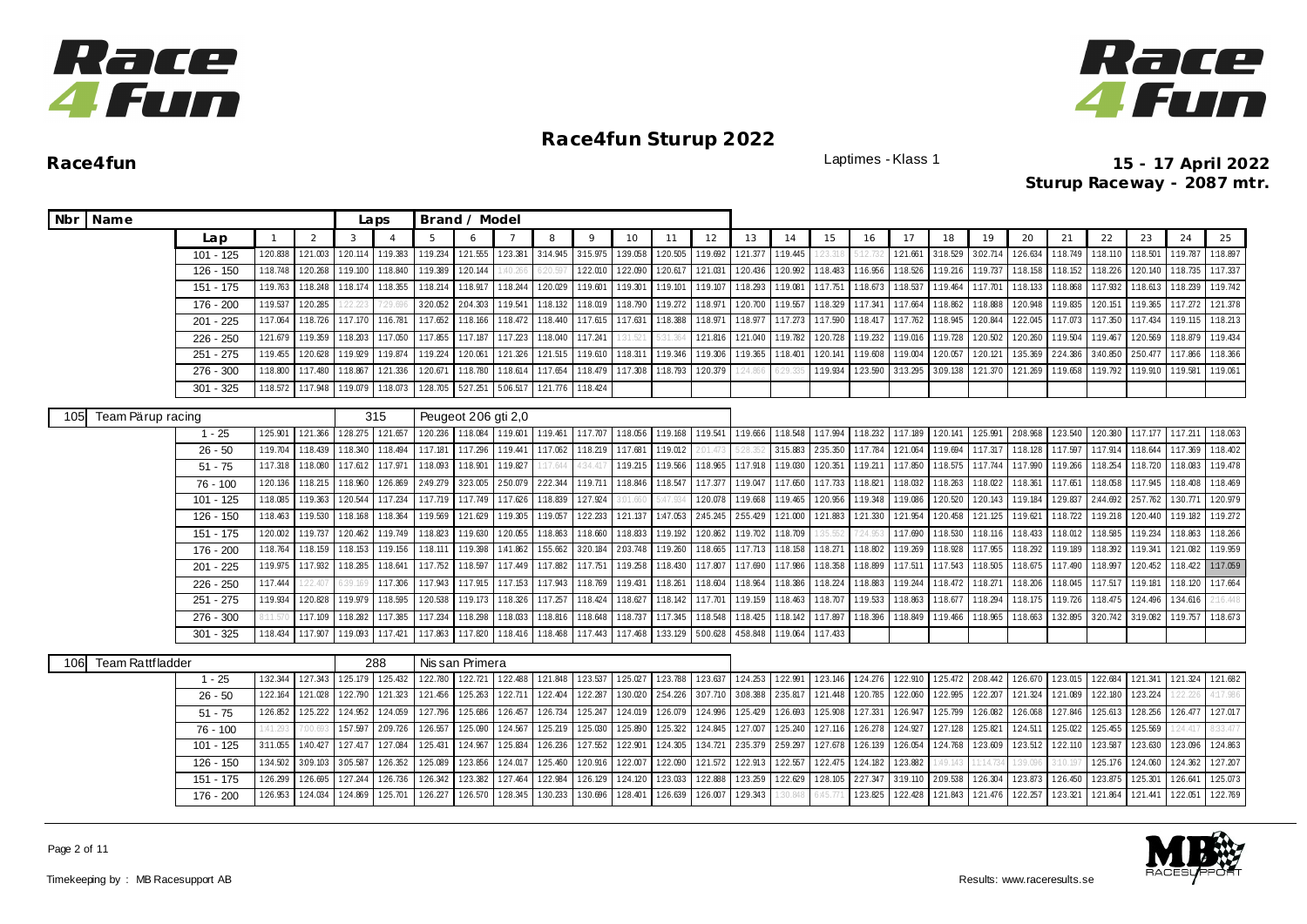



**Race4fun** Laptimes - Klass 1 **15 - 17 April 2022 Sturup Raceway - 2087 mtr.**

| Nbr Name                       |             |          |          |          | Laps     |                   | Brand / Model       |                 |                              |          |          |          |          |          |          |                   |          |                   |                   |          |          |          |          |                   |                   |          |
|--------------------------------|-------------|----------|----------|----------|----------|-------------------|---------------------|-----------------|------------------------------|----------|----------|----------|----------|----------|----------|-------------------|----------|-------------------|-------------------|----------|----------|----------|----------|-------------------|-------------------|----------|
|                                | Lap         |          | 2        | 3        |          | 5                 | 6                   |                 | 8                            | 9        | 10       | 11       | 12       | 13       | 14       | 15                | 16       | 17                | 18                | 19       | 20       | 21       | 22       | 23                | 24                | 25       |
|                                | $101 - 125$ | 1:20.838 | 1:21.003 | 1:20.114 | 1:19.383 | 1:19.234          | 121.555             | 1:23.381        | 3:14.945                     | 3:15.975 | 1:39.058 | 1:20.505 | 1:19.692 | 121.377  | 1:19.445 |                   | :12.73   | 1:21.661          | 3:18.529          | 3:02.714 | 1:26.634 | 1:18.749 | 1:18.110 | 1:18.501          | 1:19.787          | 1:18.897 |
|                                | $126 - 150$ | 1:18.748 | 1:20.268 | 1:19.100 | 1:18.840 | 1:19.389          | 1:20.144            | 1:40.266        | 6:20.59                      | 122.010  | 122.090  | 120.617  | 121.031  | 120.436  | 1:20.992 | 1:18.483          | 1:16.956 | 1:18.526          | 1:19.216          | 1:19.737 | 1:18.158 | 1:18.152 | 1:18.226 | 1:20.140          | 1:18.735          | 1:17.337 |
|                                | 151 - 175   | 1:19.763 | 1:18.248 | 1:18.174 | 1:18.355 | 1:18.214          | 1:18.917            | 1:18.244        | 1:20.029                     | 1:19.601 | 1:19.301 | 1:19.101 | 1:19.107 | 1:18.293 | 1:19.081 | 1:17.751          | 1:18.673 | 1:18.537          | 1:19.464          | 1:17.701 | 1:18.133 | 1:18.868 | 1:17.932 | 1:18.613          | 1:18.239          | 1:19.742 |
|                                | 176 - 200   | 1:19.537 | 1:20.285 | 22.223   | 7:29.6   | 3:20.052          | 2:04.303            | 1:19.541        | 1:18.132                     | 1:18.019 | 1:18.790 | 1:19.272 | 1:18.97  | 1:20.700 | 1:19.557 | 1:18.329          | 1:17.341 | 1:17.664          | 1:18.862          | 1:18.888 | 1:20.948 | 1:19.835 | 1:20.151 |                   | 1:19.365 1:17.272 | 1:21.378 |
|                                | $201 - 225$ | 1:17.064 | 1:18.726 | 1:17.170 |          | 1:16.781 1:17.652 | 1:18.166            | 1:18.472        | 1:18.440                     | 1:17.615 | 1:17.631 | 1:18.388 | 1:18.97  | 1:18.977 | 1:17.273 | 1:17.590          | 1:18.417 | 1:17.762          | 1:18.945          | 1:20.844 | 1:22.045 | 1:17.073 | 1:17.350 | 1:17.434          | 1:19.115          | 1:18.213 |
|                                | $226 - 250$ | 121.679  | 1:19.359 | 1:18.203 | 1:17.050 | 1:17.855          | 1:17.187            | 1:17.223        | 1:18.040                     | 1:17.241 | 31.52    | 31.364   | 121.816  | 121.040  | 1:19.782 | 120.728           | 1:19.232 | 1:19.016          | 1:19.728          | 120.502  | 1:20.260 | 1:19.504 | 1:19.467 | 1:20.569          | 1:18.879          | 1:19.434 |
|                                | $251 - 275$ | 1:19.455 | 120.628  | 1:19.929 | 1:19.874 | 1:19.224          | 1:20.061            | 121.326         | 121.515                      | 1:19.610 | 1:18.311 | 1:19.346 | 1:19.306 | 1:19.365 | 1:18.401 | 120.141           | 1:19.608 | 1:19.004          | 1:20.057          | 120.121  | 1:35.369 | 2:24.386 | 3:40.850 | 2:50.477          | 1:17.866          | 1:18.366 |
|                                | 276 - 300   | 1:18.800 | 1:17.480 | 1:18.867 | 121.336  | 1:20.671          | 1:18.780            | 1:18.614        | 1:17.654                     | 1:18.479 | 1:17.308 | 1:18.793 | 1:20.379 | 24.866   | $-29.33$ | 1:19.934          | 1:23.590 | 3:13.295          | 3.09.138          | 121.370  | 121.269  | 1:19.658 | 1:19.792 | 1:19.910          | 1:19.581          | 1:19.061 |
|                                | $301 - 325$ | 1:18.572 | 1:17.948 | 1:19.079 | 1:18.073 | 1:28.705          | 5:27.251            | 5.06.517        | 1:21.776 1:18.424            |          |          |          |          |          |          |                   |          |                   |                   |          |          |          |          |                   |                   |          |
| Team Pärup racing<br>105       |             |          |          |          | 315      |                   | Peugeot 206 gti 2,0 |                 |                              |          |          |          |          |          |          |                   |          |                   |                   |          |          |          |          |                   |                   |          |
|                                | $1 - 25$    | 125.901  | 121.366  | 128.275  | 121.657  | 120.236           | 1:18.084 1:19.601   |                 | 1:19.461                     | 1:17.707 | 1:18.056 | 1:19.168 | 1:19.541 | 1:19.666 | 1:18.548 | 1:17.994          | 1:18.232 |                   | 1:17.189 1:20.141 | 125.991  | 2.08.968 | 123.540  | 1:20.380 | 1:17.177 1:17.211 |                   | 1:18.063 |
|                                | $26 - 50$   | 1:19.704 | 1:18.439 | 1:18.340 | 1:18.494 | 1:17.181          | 1:17.296            | 1:19.441        | 1:17.062                     | 1:18.219 | 1:17.681 | 1:19.012 | 2:01.47  | 28.352   | 3:15.883 | 2:35.350          | 1:17.784 | 121.064           | 1:19.694          | 1:17.317 | 1:18.128 | 1:17.597 | 1:17.914 | 1:18.644          | 1:17.369          | 1:18.402 |
|                                | $51 - 75$   | 1:17.318 | 1:18.080 | 1:17.612 | 1:17.971 | 1:18.093          | 1:18.901            | 1:19.827        | 1:17.64                      | 4:34.41  | 1:19.215 | 1:19.566 | 1:18.965 | 1:17.918 | 1:19.030 | 1:20.351          | 1:19.211 | 1:17.850          | 1:18.575          | 1:17.744 | 1:17.990 | 1:19.266 | 1:18.254 | 1:18.720          | 1:18.083          | 1:19.478 |
|                                | $76 - 100$  | 1:20.136 | 1:18.215 | 1:18.960 | 1:26.869 | 2:49.279          | 323.005             | 2:50.079        | 222.344 1:19.711             |          | 1:18.846 | 1:18.547 | 1:17.377 | 1:19.047 | 1:17.650 | 1:17.733 1:18.821 |          |                   | 1:18.032 1:18.263 | 1:18.022 | 1:18.361 | 1:17.651 | 1:18.058 | 1:17.945          | 1:18.408          | 1:18.469 |
|                                | $101 - 125$ | 1:18.085 | 1:19.363 | 1:20.544 | 1:17.234 | 1:17.719          | 1:17.749            | 1:17.626        | 1:18.839 1:27.924            |          | 3:01.660 | 5:47.934 | 1:20.078 | 1:19.668 | 1:19.465 | 120.956           |          | 1:19.348 1:19.086 | 1:20.520          | 1:20.143 | 1:19.184 | 129.837  | 2:44.692 | 257.762 1:30.771  |                   | 120.979  |
|                                | 126 - 150   | 1:18.463 | 1:19.530 | 1:18.168 | 1:18.364 | 1:19.569          | 121.629             | 1:19.305        | 1:19.057                     | 1:22.233 | 121.137  | 1:47.053 | 2:45.245 | 2:55.429 | 121.000  | 1:21.883          | 121.330  | 121.954           | 1:20.458          | 121.125  | 1:19.621 | 1:18.722 | 1:19.218 | 1:20.440          | 1:19.182          | 1:19.272 |
|                                | 151 - 175   | 120.002  | 1:19.737 | 1:20.462 | 1:19.749 | 1:18.823          | 1:19.630            | 1:20.055        | 1:18.863                     | 1:18.660 | 1:18.833 | 1:19.192 | 120.862  | 1:19.702 | 1:18.709 | 1:35.552          | 7:24.953 | 1:17.690          | 1:18.530          | 1:18.116 | 1:18.433 | 1:18.012 | 1:18.585 | 1:19.234          | 1:18.863          | 1:18.266 |
|                                | 176 - 200   | 1:18.764 | 1:18.159 | 1:18.153 | 1:19.156 | 1:18.111          | 1:19.398            | 1:41.862        | 1:55.662                     | 3:20.184 | 2:03.748 | 1:19.260 | 1:18.665 | 1:17.713 | 1:18.158 | 1:18.271          | 1:18.802 | 1:19.269          | 1:18.928          | 1:17.955 | 1:18.292 | 1:19.189 | 1:18.392 | 1:19.341          | 121.082           | 1:19.959 |
|                                | 201 - 225   | 1:19.975 | 1:17.932 | 1:18.285 | 1:18.641 | 1:17.752          | 1:18.597            | 1:17.449        | 1:17.882                     | 1:17.751 | 1:19.258 | 1:18.430 | 1:17.807 | 1:17.690 | 1:17.986 | 1:18.358          | 1:18.899 |                   | 1:17.511 1:17.543 | 1:18.505 | 1:18.675 | 1:17.490 | 1:18.997 | 1:20.452          | 1:18.422          | 1:17.059 |
|                                | $226 - 250$ | 1:17.444 | 22.40    |          | 1:17.306 | 1:17.943          | 1:17.915            | 1:17.153        | 1:17.943                     | 1:18.769 | 1:19.431 | 1:18.261 | 1:18.604 | 1:18.964 | 1:18.386 | 1:18.224          | 1:18.883 | 1:19.244          | 1:18.472          | 1:18.271 | 1:18.206 | 1:18.045 | 1:17.517 | 1:19.181          | 1:18.120          | 1:17.664 |
|                                | $251 - 275$ | 1:19.934 | 1:20.828 | 1:19.979 | 1:18.595 | 1:20.538          | 1:19.173            | 1:18.326        | 1:17.257                     | 1:18.424 | 1:18.627 | 1:18.142 | 1:17.701 | 1:19.159 | 1:18.463 | 1:18.707          | 1:19.533 | 1:18.863          | 1:18.677          | 1:18.294 | 1:18.175 | 1:19.726 | 1:18.475 | 124.496           | 1:34.616          | 2:16.448 |
|                                | $276 - 300$ | 11.57    | 1:17.109 | 1:18.282 | 1:17.385 | 1:17.234          | 1:18.298            | 1:18.033        | 1:18.816                     | 1:18.648 | 1:18.737 | 1:17.345 | 1:18.548 | 1:18.425 | 1:18.142 | 1:17.897          | 1:18.396 | 1:18.849          | 1:19.466          | 1:18.965 | 1:18.663 | 1:32.895 | 3:20.742 | 3:19.082          | 1:19.757          | 1:18.673 |
|                                | $301 - 325$ | 1:18.434 | 1:17.907 | 1:19.093 |          | 1:17.421 1:17.863 | 1:17.820            |                 | 1:18.416  1:18.468  1:17.443 |          | 1:17.468 | 1:33.129 | 5.00.628 | 458.848  |          | 1:19.064 1:17.433 |          |                   |                   |          |          |          |          |                   |                   |          |
| <b>Team Rattfladder</b><br>106 |             |          |          |          | 288      |                   | Nissan Primera      |                 |                              |          |          |          |          |          |          |                   |          |                   |                   |          |          |          |          |                   |                   |          |
|                                | $1 - 25$    | 1:32.344 | 127.343  | 125.179  | 125.432  | 122.780           |                     | 122.721 122.488 | 121.848 123.537              |          | 1:25.027 | 123.788  | 1:23.637 | 124.253  | 122.991  | 123.146           | 124.276  |                   | 122.910 125.472   | 2.08.442 | 126.670  | 123.015  | 122.684  |                   | 121.341 121.324   | 121.682  |
|                                | $26 - 50$   | 1:22.164 | 1:21.028 | 1:22.790 | 1:21.323 | 1:21.456          | 1:25.263            | 122.711         | 122.404                      | 1:22.287 | 1:30.020 | 2:54.226 | 3:07.710 | 3.08.388 | 2:35.817 | 1:21.448          | 1:20.785 | 1:22.060          | 1:22.995          | 122.207  | 1:21.324 | 1:21.089 | 1:22.180 | 123.224           |                   | 4:17.986 |
|                                | $51 - 75$   | 126.852  | 125.222  | 1:24.952 | 1:24.059 | 1:27.796          | 125.686             | 126.457         | 126.734 125.247              |          | 124.019  | 126.079  | 124.996  | 125.429  | 126.693  | 125.908           | 127.331  | 126.947           | 125.799           | 126.082  | 126.068  | 127.846  | 125.613  | 1:28.256          | 126.477           | 127.017  |
|                                | $76 - 100$  | 1:41.293 | 7:00.693 | 157.597  | 2:09.726 | 126.557           | 125.090             | 124.567         | 125.219                      | 125.030  | 125.890  | 125.322  | 124.845  | 127.007  | 125.240  | 127.116           | 126.278  | 124.927           | 1:27.128          | 125.821  | 124.511  | 125.022  | 125.455  | 125.569           | 24.417            | 8:33.477 |
|                                | $101 - 125$ | 3:11.055 | 1:40.427 | 127.417  | 1:27.084 | 125.431           | 124.967             | 125.834         | 126.236                      | 127.552  | 122.901  | 1:24.305 | 1:34.721 | 2:35.379 | 2:59.297 | 127.678           | 126.139  | 126.054           | 124.768           | 123.609  | 123.512  | 122.110  | 123.587  | 123.630           | 1:23.096          | 124.863  |
|                                | 126 - 150   | 1:34.502 | 3:09.103 | 3:05.587 | 126.352  | 1:25.089          | 123.856             | 1:24.017        | 125.460                      | 1:20.916 | 122.007  | 1:22.090 | 1:21.572 | 122.913  | 1:22.557 | 122.475           | 124.182  | 123.882           | :49.143           | 11:14.73 | 39.096   | 3:10.1   | 1:25.176 | 1:24.060          | 1:24.362          | 127.207  |
|                                | 151 - 175   | 1:26.299 | 126.695  | 1:27.244 | 1:26.736 | 1:26.342          | 123.382             | 1:27.464        | 1:22.984                     | 1:26.129 | 1:24.120 | 123.033  | 1:22.888 | 1:23.259 | 1:22.629 | 1:28.105          | 2:27.347 | 3:19.110          | 2:09.538          | 1:26.304 | 123.873  | 1:26.450 | 1:23.875 | 1:25.301          | 1:26.641          | 125.073  |
|                                | 176 - 200   | 126.953  | 124.034  | 1:24.869 | 1:25.701 | 126.227           | 1:26.570            | 128.345         | 1:30.233                     | 1:30.696 | 1:28.401 | 1:26.639 | 126.007  | 129.343  | 30.848   |                   |          | 123.825 122.428   | 121.843           | 121.476  | 122.257  | 123.321  | 121.864  | 121.441           | 1:22.051          | 122.769  |



Page 2 of 11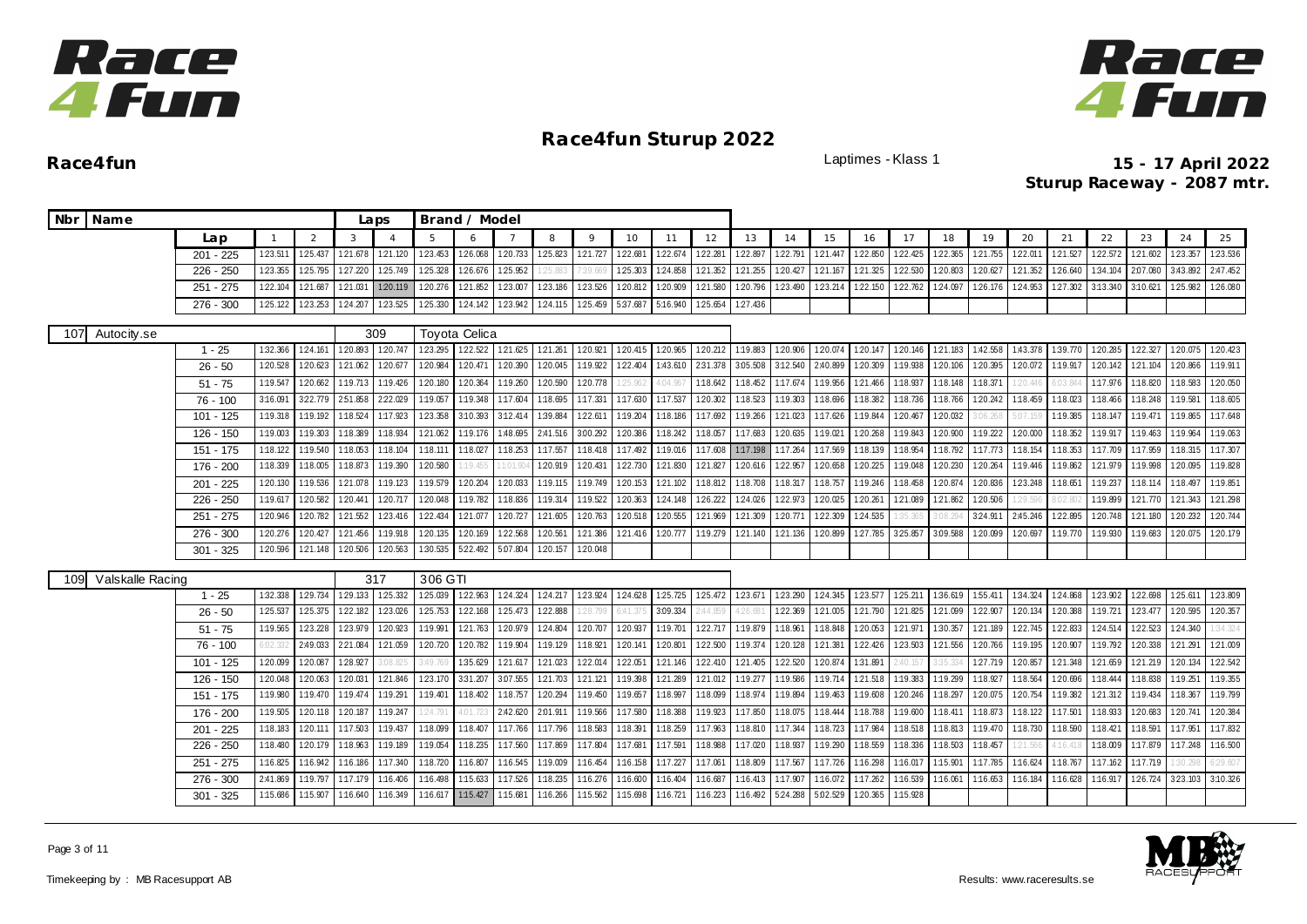



| Nbr Name |                  |             |          |          |          | Laps     |          | Brand / Model |                 |          |                 |                   |                 |          |          |          |          |          |                   |          |          |          |          |                   |          |                 |          |
|----------|------------------|-------------|----------|----------|----------|----------|----------|---------------|-----------------|----------|-----------------|-------------------|-----------------|----------|----------|----------|----------|----------|-------------------|----------|----------|----------|----------|-------------------|----------|-----------------|----------|
|          |                  | Lap         |          | 2        | 3        |          | 5        |               |                 | 8        | 9               | 10                | 11              | 12       | 13       | 14       | 15       | 16       | 17                | 18       | 19       | 20       | 21       | 22                | 23       | 24              | 25       |
|          |                  | $201 - 225$ | 1:23.511 | 125.437  | 121.678  | 121.120  | 123.453  | 126.068       | 120.733         | 125.823  | 121.727         | 122.681           | 1:22.674        | 122.281  | 122.897  | 1:22.791 | 121.447  | 1:22.850 | 122.425           | 1:22.365 | 121.755  | 1:22.011 | 1:21.527 | 1:22.572          | 121.602  | 123.357         | 123.536  |
|          |                  | $226 - 250$ | 1:23.355 | 1:25.795 | 1:27.220 | 125.749  | 1:25.328 | 126.676       | 1:25.952        | 25.88    | 7:39.669        | 1:25.303          | 1:24.858        | 121.352  | 1:21.255 | 1:20.427 | 121.167  | 1:21.325 | 1:22.530          | 1:20.803 | 1:20.627 | 1:21.352 | 126.640  | 1:34.104          | 2:07.080 | 3:43.892        | 2:47.452 |
|          |                  | $251 - 275$ | 1:22.104 | 121.687  | 1:21.031 | 1:20.119 | 1:20.276 | 1:21.852      | 123.007         | 1:23.186 | 1:23.526        | 1:20.812          | 1:20.909        | 1:21.580 | 120.796  | 1:23.490 | 123.214  | 1:22.150 | 122.762           | 1:24.097 | 126.176  | 1:24.953 | 1:27.302 | 3:13.340          | 3:10.621 | 1:25.982        | 1:26.080 |
|          |                  | 276 - 300   | 1:25.122 | 123.253  | 1:24.207 | 123.525  | 1:25.330 | 124.142       | 1:23.942        | 1:24.115 | 125.459         | 5:37.687 5:16.940 |                 | 125.654  | 127.436  |          |          |          |                   |          |          |          |          |                   |          |                 |          |
| 107      | Autocity.se      |             |          |          |          | 309      |          | Toyota Celica |                 |          |                 |                   |                 |          |          |          |          |          |                   |          |          |          |          |                   |          |                 |          |
|          |                  | $1 - 25$    | 1:32.366 | 1:24.161 | 1:20.893 | 120.747  | 123.295  |               | 122.522 121.625 | 121.261  | 1:20.921        | 120.415 120.965   |                 | 120.212  | 1:19.883 | 120.906  | 1:20.074 |          | 1:20.147 1:20.146 | 121.183  | 1:42.558 | 1:43.378 |          | 1:39.770 1:20.285 | 122.327  | 1:20.075        | 1:20.423 |
|          |                  | $26 - 50$   | 1:20.528 | 1:20.623 | 1:21.062 | 1:20.677 | 1:20.984 | 1:20.471      | 1:20.390        | 1:20.045 | 1:19.922        | 1:22.404          | 1:43.610        | 2:31.378 | 3:05.508 | 3:12.540 | 2:40.899 | 1:20.309 | 1:19.938          | 1:20.106 | 1:20.395 | 1:20.072 | 1:19.917 | 1:20.142          | 1:21.104 | 1:20.866        | 1:19.911 |
|          |                  | $51 - 75$   | 1:19.547 | 1:20.662 | 1:19.713 | 1:19.426 | 1:20.180 | 120.364       | 1:19.260        | 1:20.590 | 1:20.778        | 1:25.96           | 1:04.96         | 1:18.642 | 1:18.452 | 1:17.674 | 1:19.956 | 1:21.466 | 1:18.937          | 1:18.148 | 1:18.371 |          | 6:03.1   | 1:17.976          | 1:18.820 | 1:18.583        | 1:20.050 |
|          |                  | 76 - 100    | 3:16.091 | 322.779  | 251.858  | 222.029  | 1:19.057 | 1:19.348      | 1:17.604        | 1:18.695 | 1:17.331        | 1:17.630          | 1:17.537        | 1:20.302 | 1:18.523 | 1:19.303 | 1:18.696 | 1:18.382 | 1:18.736          | 1:18.766 | 120.242  | 1:18.459 | 1:18.023 | 1:18.466          | 1:18.248 | 1:19.581        | 1:18.605 |
|          |                  | 101 - 125   | 1:19.318 | 1:19.192 | 1:18.524 | 1:17.923 | 1:23.358 | 3:10.393      | 3:12.414        | 1:39.884 | 1:22.611        | 1:19.204          | 1:18.186        | 1:17.692 | 1:19.266 | 1:21.023 | 1:17.626 | 1:19.844 | 120.467           | 1:20.032 | 3:06.268 | 5:07.159 | 1:19.385 | 1:18.147          | 1:19.471 | 1:19.865        | 1:17.648 |
|          |                  | 126 - 150   | 1:19.003 | 1:19.303 | 1:18.389 | 1:18.934 | 1:21.062 | 1:19.176      | 1:48.695        | 2:41.516 | 3:00.292        | 120.386           | 1:18.242        | 1:18.057 | 1:17.683 | 1:20.635 | 1:19.021 | 1:20.268 | 1:19.843          | 1:20.900 | 1:19.222 | 1:20.000 | 1:18.352 | 1:19.917          | 1:19.463 | 1:19.964        | 1:19.063 |
|          |                  | 151 - 175   | 1:18.122 | 1:19.540 | 1:18.053 | 1:18.104 | 1:18.111 | 1:18.027      | 1:18.253        | 1:17.557 | 1:18.418        | 1:17.492          | 1:19.016        | 1:17.608 | 1:17.198 | 1:17.264 | 1:17.569 | 1:18.139 | 1:18.954          | 1:18.792 | 1:17.773 | 1:18.154 | 1:18.353 | 1:17.709          | 1:17.959 | 1:18.315        | 1:17.307 |
|          |                  | 176 - 200   | 1:18.339 | 1:18.005 | 1:18.873 | 1:19.390 | 1:20.580 | 1:19.455      | 1:01.90         | 1:20.919 | 1:20.431        | 1:22.730          | 1:21.830        | 121.827  | 1:20.616 | 1:22.957 | 1:20.658 | 1:20.225 | 1:19.048          | 1:20.230 | 1:20.264 | 1:19.446 | 1:19.862 | 121.979           | 1:19.998 | 1:20.095        | 1:19.828 |
|          |                  | $201 - 225$ | 1:20.130 | 1:19.536 | 1:21.078 | 1:19.123 | 1:19.579 | 1:20.204      | 1:20.033        | 1:19.115 | 1:19.749        | 1:20.153          | 1:21.102        | 1:18.812 | 1:18.708 | 1:18.317 | 1:18.757 | 1:19.246 | 1:18.458          | 1:20.874 | 1:20.836 | 123.248  | 1:18.651 | 1:19.237          | 1:18.114 | 1:18.497        | 1:19.851 |
|          |                  | 226 - 250   | 1:19.617 | 1:20.582 | 1:20.441 | 120.717  | 1:20.048 | 1:19.782      | 1:18.836        | 1:19.314 | 1:19.522        | 120.363           | 124.148         | 126.222  | 124.026  | 1:22.973 | 1:20.025 | 1:20.261 | 1:21.089          | 121.862  | 1:20.506 | 29.596   | 8:02.80  | 1:19.899          | 121.770  | 121.343         | 121.298  |
|          |                  | $251 - 275$ | 1:20.946 | 1:20.782 | 121.552  | 123.416  | 1:22.434 | 121.077       | 1:20.727        | 121.605  | 1:20.763        | 1:20.518          | 1:20.555        | 1:21.969 | 121.309  | 1:20.771 | 1:22.309 | 124.535  | 35.365            | 3:08.294 | 3:24.911 | 2:45.246 | 1:22.895 | 1:20.748          | 1:21.180 | 1:20.232        | 1:20.744 |
|          |                  | $276 - 300$ | 120.276  | 120.427  | 121.456  | 1:19.918 | 1:20.135 | 1:20.169      | 122.568         | 1:20.561 | 1:21.386        | 121.416           | 1:20.777        | 1:19.279 | 121.140  | 121.136  | 1:20.899 | 127.785  | 325.857           | 3.09.588 | 1:20.099 | 1:20.697 |          | 1:19.770 1:19.930 | 1:19.683 | 1:20.075        | 1:20.179 |
|          |                  | $301 - 325$ | 1:20.596 | 121.148  | 1:20.506 | 1:20.563 | 1:30.535 | 5:22.492      | 5.07.804        | 1:20.157 | 1:20.048        |                   |                 |          |          |          |          |          |                   |          |          |          |          |                   |          |                 |          |
| 109      | Valskalle Racing |             |          |          |          | 317      | 306 GTI  |               |                 |          |                 |                   |                 |          |          |          |          |          |                   |          |          |          |          |                   |          |                 |          |
|          |                  | $1 - 25$    | 1:32.338 | 129.734  | 129.133  | 125.332  | 1:25.039 | 122.963       | 124.324         |          | 124.217 123.924 |                   | 124.628 125.725 | 125.472  | 123.671  | 123.290  | 124.345  | 123.577  | 125.211           | 1:36.619 | 155.411  | 1:34.324 | 124.868  | 123.902           | 122.698  | 125.611         | 123.809  |
|          |                  | $26 - 50$   | 1:25.537 | 1:25.375 | 1:22.182 | 123.026  | 1:25.753 | 122.168       | 125.473         | 1:22.888 | 1:28.799        | 6:41.375          | 3:09.334        | 2:44.859 | 1:26.681 | 122.369  | 1:21.005 | 121.790  | 1:21.825          | 1:21.099 | 122.907  | 1:20.134 | 1:20.388 | 1:19.721          | 123.477  | 1:20.595        | 1:20.357 |
|          |                  | $51 - 75$   | 1:19.565 | 123.228  | 123.979  | 120.923  | 1:19.991 | 121.763       | 1:20.979        | 124.804  | 1:20.707        | 1:20.937          | 1:19.701        | 122.717  | 1:19.879 | 1:18.961 | 1:18.848 | 120.053  | 121.971           | 1:30.357 | 1:21.189 | 1:22.745 | 122.833  | 1:24.514          | 122.523  | 1:24.340        | :34.324  |
|          |                  | 76 - 100    | 6.02.33  | 2:49.033 | 2:21.084 | 1:21.059 | 1:20.720 | 1:20.782      | 1:19.904        | 1:19.129 | 1:18.921        | 1:20.141          | 1:20.801        | 1:22.500 | 1:19.374 | 1:20.128 | 1:21.381 | 1:22.426 | 123.503           | 1:21.556 | 1:20.766 | 1:19.195 | 1:20.90  | 1:19.792          | 120.338  | 121.291         | 1:21.009 |
|          |                  | $101 - 125$ | 1:20.099 | 1:20.087 | 1:28.927 | 3:08.825 | 3:49.769 | 1:35.629      | 121.617         | 121.023  | 122.014         | 122.051           | 121.146         | 122.410  | 121.405  | 1:22.520 | 120.874  | 1:31.891 | 2:40.157          | 3:35.33  | 127.719  | 120.857  | 121.348  | 121.659           | 121.219  | 1:20.134        | 122.542  |
|          |                  | 126 - 150   | 1:20.048 | 1:20.063 | 1:20.031 | 121.846  | 123.170  | 331.207       | 3:07.555        | 1:21.703 | 121.121         | 1:19.398          | 121.289         | 1:21.012 | 1:19.277 | 1:19.586 | 1:19.714 | 1:21.518 | 1:19.383          | 1:19.299 | 1:18.927 | 1:18.564 | 1:20.696 | 1:18.444          | 1:18.838 | 1:19.251        | 1:19.355 |
|          |                  | 151 - 175   | 1:19.980 | 1:19.470 | 1:19.474 | 1:19.291 | 1:19.401 | 1:18.402      | 1:18.757        | 1:20.294 | 1:19.450        | 1:19.657          | 1:18.997        | 1:18.099 | 1:18.974 | 1:19.894 | 1:19.463 | 1:19.608 | 120.246           | 1:18.297 | 1:20.075 | 1:20.754 | 1:19.382 | 121.312           | 1:19.434 | 1:18.367        | 1:19.799 |
|          |                  | 176 - 200   | 1:19.505 | 1:20.118 | 1:20.187 | 1:19.247 | 124.79   | 4:01.723      | 2:42.620        | 2:01.911 | 1:19.566        | 1:17.580          | 1:18.388        | 1:19.923 | 1:17.850 | 1:18.075 | 1:18.444 | 1:18.788 | 1:19.600          | 1:18.411 | 1:18.873 | 1:18.122 | 1:17.501 | 1:18.933          | 120.683  | 1:20.741        | 1:20.384 |
|          |                  | $201 - 225$ | 1:18.183 | 1:20.111 | 1:17.503 | 1:19.437 | 1:18.099 | 1:18.407      | 1:17.766        | 1:17.796 | 1:18.583        | 1:18.391          | 1:18.259        | 1:17.963 | 1:18.810 | 1:17.344 | 1:18.723 | 1:17.984 | 1:18.518          | 1:18.813 | 1:19.470 | 1:18.730 | 1:18.590 | 1:18.421          | 1:18.591 | 1:17.951        | 1:17.832 |
|          |                  | 226 - 250   | 1:18.480 | 1:20.179 | 1:18.963 | 1:19.189 | 1:19.054 | 1:18.235      | 1:17.560        | 1:17.869 | 1:17.804        | 1:17.681          | 1:17.591        | 1:18.988 | 1:17.020 | 1:18.937 | 1:19.290 | 1:18.559 | 1:18.336          | 1:18.503 | 1:18.457 | 21.566   | 4:16.41  | 1:18.009          | 1:17.879 | 1:17.248        | 1:16.500 |
|          |                  | $251 - 275$ | 1:16.825 | 1:16.942 | 1:16.186 | 1:17.340 | 1:18.720 | 1:16.807      | 1:16.545        | 1:19.009 | 1:16.454        | 1:16.158 1:17.227 |                 | 1:17.061 | 1:18.809 | 1:17.567 | 1:17.726 | 1:16.298 | 1:16.017          | 1:15.901 | 1:17.785 | 1:16.624 | 1:18.767 | 1:17.162          | 1:17.719 | 30.298          | 29.607   |
|          |                  | $276 - 300$ | 2:41.869 | 1:19.797 | 1:17.179 | 1:16.406 | 1:16.498 | 1:15.633      | 1:17.526        | 1:18.235 | 1:16.276        | 1:16.600          | 1:16.404        | 1:16.687 | 1:16.413 | 1:17.907 | 1:16.072 | 1:17.262 | 1:16.539          | 1:16.061 | 1:16.653 | 1:16.184 | 1:16.628 | 1:16.917          |          | 126.724 323.103 | 3:10.326 |
|          |                  |             |          |          |          |          |          |               |                 |          |                 |                   |                 |          |          |          |          |          |                   |          |          |          |          |                   |          |                 |          |

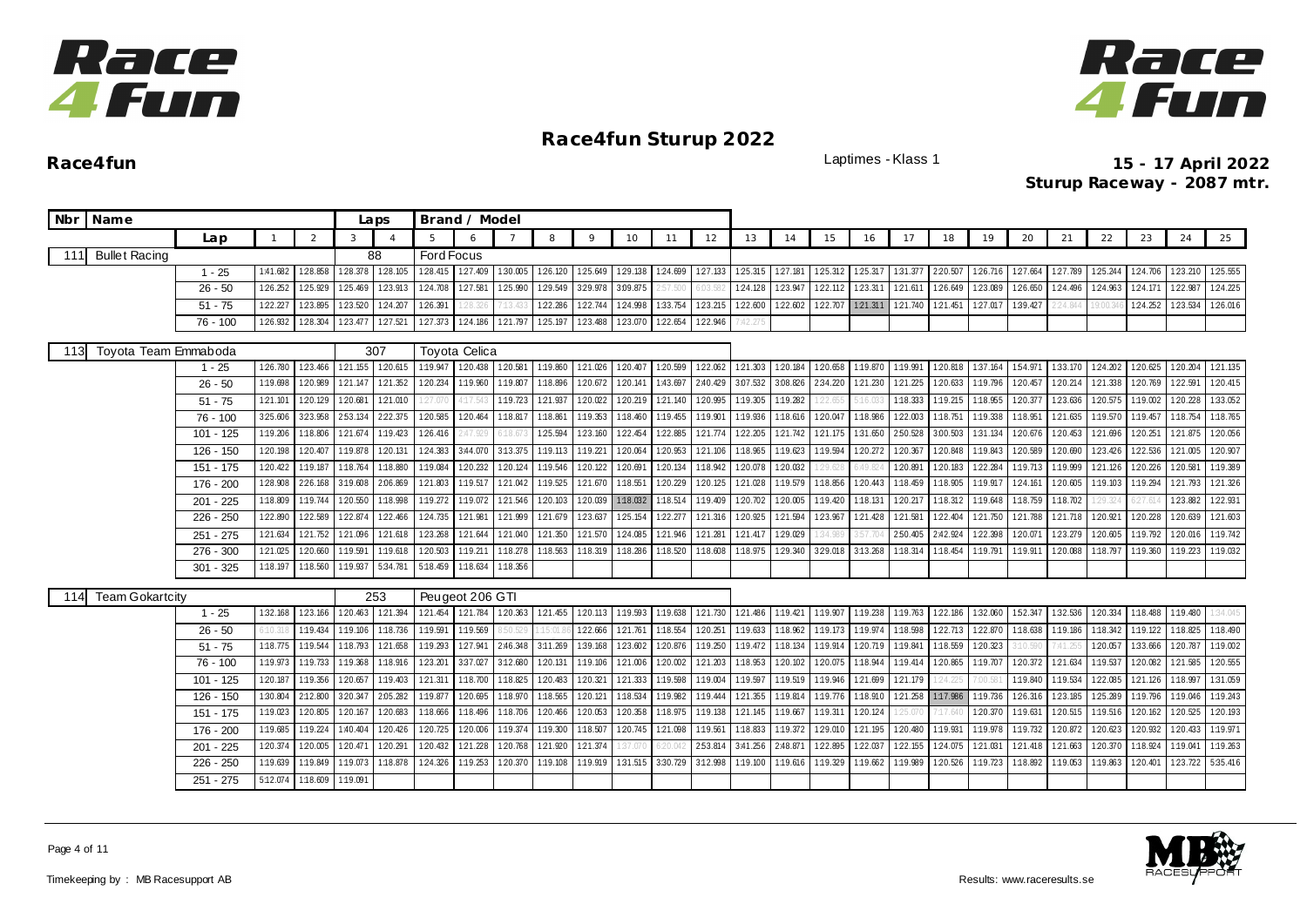



| 9<br>18<br>20<br>21<br>22<br>23<br>Lap<br>$\overline{2}$<br>3<br>5.<br>8<br>10<br>12<br>13<br>14<br>15<br>16<br>17<br>19<br>$\overline{4}$<br>11<br>6<br><b>Ford Focus</b><br>Bullet Racing<br>88<br>111<br>128.105<br>1:27.409<br>$1 - 25$<br>1:41.682<br>1:28.858<br>1:28.378<br>1:28.415<br>1:30.005<br>126.120<br>125.649<br>1:29.138<br>124.699 127.133<br>125.315 127.181<br>125.312<br>1:25.317<br>1:31.377<br>2:20.507<br>126.716<br>127.664<br>127.789 125.244<br>124.706<br>123.913<br>1:24.708<br>127.581<br>125.990<br>129.549<br>3:29.978<br>3.09.875<br>1:24.128<br>123.947<br>122.112<br>123.311<br>126.649<br>123.089<br>124.496<br>124.963<br>124.171<br>126.252<br>125.929<br>125.469<br>6:03.582<br>1:21.611<br>126.650<br>$26 - 50$<br>2:57.500<br>122.227<br>123.895<br>1:23.520<br>124.207<br>1:26.391<br>122.286<br>122.744<br>1:24.998<br>1:33.754<br>123.215<br>122.600<br>122.602<br>122.707<br>121.311 121.740<br>1:27.017<br>1:39.427<br>124.252<br>$51 - 75$<br>121.451<br>2:24.84<br>28.326<br>9:00.34<br>125.197<br>1:22.946<br>$76 - 100$<br>1:26.932<br>1:28.304<br>123.477<br>127.521<br>127.373<br>124.186<br>121.797<br>1:23.488<br>1:23.070<br>1:22.654<br>Toyota Team Emmaboda<br>307<br><b>Toyota Celica</b><br>113<br>120.615<br>120.438 120.581<br>1:20.407<br>1:20.599<br>122.062<br>121.303 120.184<br>1:20.658<br>1:19.870<br>1:19.991<br>1:20.818<br>1:37.164<br>154.971<br>1:33.170 1:24.202<br>1:20.625<br>1:26.780<br>123.466<br>121.155<br>1:19.947<br>1:19.860<br>121.026<br>1:20.204<br>$1 - 25$<br>1:20.989<br>121.352<br>120.234<br>1:19.960<br>1:18.896<br>1:20.672<br>120.141<br>1:43.697<br>2:40.429<br>3.07.532<br>3.08.826<br>2:34.220<br>121.230<br>121.225<br>120.633<br>1:19.796<br>1:20.457<br>120.214<br>1:20.769<br>1:22.591<br>1:19.698<br>121.147<br>1:19.807<br>121.338<br>$26 - 50$<br>120.681<br>121.010<br>121.937<br>1:20.995<br>123.636<br>$51 - 75$<br>1:21.101<br>1:20.129<br>1:19.723<br>1:20.022<br>1:20.219<br>1:21.140<br>1:19.305<br>1:19.282<br>1:18.333<br>1:19.215<br>1:18.955<br>1:20.377<br>1:20.575<br>1:19.002<br>1:27.07<br>4:17.54<br>5:16.03<br>22.655 |                      |
|-------------------------------------------------------------------------------------------------------------------------------------------------------------------------------------------------------------------------------------------------------------------------------------------------------------------------------------------------------------------------------------------------------------------------------------------------------------------------------------------------------------------------------------------------------------------------------------------------------------------------------------------------------------------------------------------------------------------------------------------------------------------------------------------------------------------------------------------------------------------------------------------------------------------------------------------------------------------------------------------------------------------------------------------------------------------------------------------------------------------------------------------------------------------------------------------------------------------------------------------------------------------------------------------------------------------------------------------------------------------------------------------------------------------------------------------------------------------------------------------------------------------------------------------------------------------------------------------------------------------------------------------------------------------------------------------------------------------------------------------------------------------------------------------------------------------------------------------------------------------------------------------------------------------------------------------------------------------------------------------------------------------------------------------------------------------------------------------------------------------------------------------------|----------------------|
|                                                                                                                                                                                                                                                                                                                                                                                                                                                                                                                                                                                                                                                                                                                                                                                                                                                                                                                                                                                                                                                                                                                                                                                                                                                                                                                                                                                                                                                                                                                                                                                                                                                                                                                                                                                                                                                                                                                                                                                                                                                                                                                                                 | 25<br>24             |
|                                                                                                                                                                                                                                                                                                                                                                                                                                                                                                                                                                                                                                                                                                                                                                                                                                                                                                                                                                                                                                                                                                                                                                                                                                                                                                                                                                                                                                                                                                                                                                                                                                                                                                                                                                                                                                                                                                                                                                                                                                                                                                                                                 |                      |
|                                                                                                                                                                                                                                                                                                                                                                                                                                                                                                                                                                                                                                                                                                                                                                                                                                                                                                                                                                                                                                                                                                                                                                                                                                                                                                                                                                                                                                                                                                                                                                                                                                                                                                                                                                                                                                                                                                                                                                                                                                                                                                                                                 | 123.210<br>125.555   |
|                                                                                                                                                                                                                                                                                                                                                                                                                                                                                                                                                                                                                                                                                                                                                                                                                                                                                                                                                                                                                                                                                                                                                                                                                                                                                                                                                                                                                                                                                                                                                                                                                                                                                                                                                                                                                                                                                                                                                                                                                                                                                                                                                 | 122.987<br>124.225   |
|                                                                                                                                                                                                                                                                                                                                                                                                                                                                                                                                                                                                                                                                                                                                                                                                                                                                                                                                                                                                                                                                                                                                                                                                                                                                                                                                                                                                                                                                                                                                                                                                                                                                                                                                                                                                                                                                                                                                                                                                                                                                                                                                                 | 123.534<br>126.016   |
|                                                                                                                                                                                                                                                                                                                                                                                                                                                                                                                                                                                                                                                                                                                                                                                                                                                                                                                                                                                                                                                                                                                                                                                                                                                                                                                                                                                                                                                                                                                                                                                                                                                                                                                                                                                                                                                                                                                                                                                                                                                                                                                                                 |                      |
|                                                                                                                                                                                                                                                                                                                                                                                                                                                                                                                                                                                                                                                                                                                                                                                                                                                                                                                                                                                                                                                                                                                                                                                                                                                                                                                                                                                                                                                                                                                                                                                                                                                                                                                                                                                                                                                                                                                                                                                                                                                                                                                                                 |                      |
|                                                                                                                                                                                                                                                                                                                                                                                                                                                                                                                                                                                                                                                                                                                                                                                                                                                                                                                                                                                                                                                                                                                                                                                                                                                                                                                                                                                                                                                                                                                                                                                                                                                                                                                                                                                                                                                                                                                                                                                                                                                                                                                                                 | 121.135              |
|                                                                                                                                                                                                                                                                                                                                                                                                                                                                                                                                                                                                                                                                                                                                                                                                                                                                                                                                                                                                                                                                                                                                                                                                                                                                                                                                                                                                                                                                                                                                                                                                                                                                                                                                                                                                                                                                                                                                                                                                                                                                                                                                                 | 1:20.415             |
|                                                                                                                                                                                                                                                                                                                                                                                                                                                                                                                                                                                                                                                                                                                                                                                                                                                                                                                                                                                                                                                                                                                                                                                                                                                                                                                                                                                                                                                                                                                                                                                                                                                                                                                                                                                                                                                                                                                                                                                                                                                                                                                                                 | 1:33.052<br>1:20.228 |
| 222.375<br>1:20.585<br>1:19.901<br>1:18.986<br>121.635<br>325.606<br>3:23.958<br>253.134<br>1:20.464<br>1:18.817<br>1:18.861<br>1:19.353<br>1:18.460<br>1:19.455<br>1:19.936<br>1:18.616<br>1:20.047<br>122.003<br>1:18.751<br>1:19.338<br>1:18.951<br>1:19.570<br>1:19.457<br>$76 - 100$                                                                                                                                                                                                                                                                                                                                                                                                                                                                                                                                                                                                                                                                                                                                                                                                                                                                                                                                                                                                                                                                                                                                                                                                                                                                                                                                                                                                                                                                                                                                                                                                                                                                                                                                                                                                                                                       | 1:18.765<br>1:18.754 |
| 1:22.454<br>121.774<br>2:50.528<br>1:20.676<br>1:20.453<br>$101 - 125$<br>1:19.206<br>1:18.806<br>121.674<br>1:19.423<br>126.416<br>1:25.594<br>1:23.160<br>1:22.885<br>122.205<br>1:21.742<br>121.175<br>1:31.650<br>3:00.503<br>1:31.134<br>1:21.696<br>120.251<br>1:47.929                                                                                                                                                                                                                                                                                                                                                                                                                                                                                                                                                                                                                                                                                                                                                                                                                                                                                                                                                                                                                                                                                                                                                                                                                                                                                                                                                                                                                                                                                                                                                                                                                                                                                                                                                                                                                                                                   | 120.056<br>1:21.875  |
| 3:44.070 3:13.375<br>1:19.113<br>1:19.623<br>1:20.690<br>122.536<br>126 - 150<br>1:20.198<br>1:20.407<br>1:19.878<br>1:20.131<br>124.383<br>1:19.221<br>1:20.064<br>1:20.953<br>1:21.106<br>1:18.965<br>1:19.594<br>120.272<br>1:20.367<br>1:20.848<br>1:19.843<br>1:20.589<br>1:23.426                                                                                                                                                                                                                                                                                                                                                                                                                                                                                                                                                                                                                                                                                                                                                                                                                                                                                                                                                                                                                                                                                                                                                                                                                                                                                                                                                                                                                                                                                                                                                                                                                                                                                                                                                                                                                                                         | 120.907<br>1:21.005  |
| 1:19.546<br>120.691<br>1:18.942<br>120.032<br>1:19.713<br>151 - 175<br>120.422<br>1:19.187<br>1:18.764<br>1:18.880<br>1:19.084<br>120.232<br>120.124<br>120.122<br>1:20.134<br>1:20.078<br>120.891<br>120.183<br>122.284<br>1:19.999 121.126<br>1:20.226<br>6:49.824<br>1:29.628                                                                                                                                                                                                                                                                                                                                                                                                                                                                                                                                                                                                                                                                                                                                                                                                                                                                                                                                                                                                                                                                                                                                                                                                                                                                                                                                                                                                                                                                                                                                                                                                                                                                                                                                                                                                                                                                | 1:19.389<br>1:20.581 |
| 2:06.869<br>1:19.517<br>121.042<br>1:19.525<br>1:18.551<br>1:20.229<br>120.125<br>1:19.579<br>124.161<br>120.605 1:19.103<br>1:28.908<br>226.168<br>3:19.608<br>1:21.803<br>121.670<br>121.028<br>1:18.856<br>1:20.443<br>1:18.459<br>1:18.905<br>1:19.917<br>1:19.294<br>176 - 200                                                                                                                                                                                                                                                                                                                                                                                                                                                                                                                                                                                                                                                                                                                                                                                                                                                                                                                                                                                                                                                                                                                                                                                                                                                                                                                                                                                                                                                                                                                                                                                                                                                                                                                                                                                                                                                             | 121.326<br>1:21.793  |
| 1:19.744<br>1:18.032<br>1:20.702<br>1:19.648<br>1:18.702<br>$201 - 225$<br>1:18.809<br>1:20.550<br>1:18.998<br>1:19.272<br>1:19.072<br>121.546<br>1:20.103<br>1:20.039<br>1:18.514<br>1:19.409<br>1:20.005<br>1:19.420<br>1:18.131<br>1:20.217<br>1:18.312<br>1:18.759<br>1:29.324<br>6:27.61                                                                                                                                                                                                                                                                                                                                                                                                                                                                                                                                                                                                                                                                                                                                                                                                                                                                                                                                                                                                                                                                                                                                                                                                                                                                                                                                                                                                                                                                                                                                                                                                                                                                                                                                                                                                                                                   | 122.931<br>1:23.882  |
| 1:22.890<br>122.589<br>1:22.874<br>122.466<br>1:24.735<br>1:21.981<br>121.999<br>1:21.679<br>1:23.637<br>1:25.154<br>122.277<br>121.316<br>1:20.925<br>121.594<br>123.967<br>121.428<br>121.581<br>1:22.404<br>1:21.750<br>121.788<br>121.718<br>1:20.921<br>1:20.228<br>$226 - 250$                                                                                                                                                                                                                                                                                                                                                                                                                                                                                                                                                                                                                                                                                                                                                                                                                                                                                                                                                                                                                                                                                                                                                                                                                                                                                                                                                                                                                                                                                                                                                                                                                                                                                                                                                                                                                                                            | 1:20.639<br>121.603  |
| 121.752 121.096<br>1:23.268<br>121.644<br>1:21.040<br>121.350<br>121.570<br>124.085<br>121.946<br>1:21.281<br>1:29.029<br>2:50.405<br>2:42.924<br>122.398<br>1:20.071<br>123.279<br>1:20.605<br>1:19.792<br>251 - 275<br>1:21.634<br>1:21.618<br>1:21.417<br>\$57.70<br>1:34.989                                                                                                                                                                                                                                                                                                                                                                                                                                                                                                                                                                                                                                                                                                                                                                                                                                                                                                                                                                                                                                                                                                                                                                                                                                                                                                                                                                                                                                                                                                                                                                                                                                                                                                                                                                                                                                                                | 1:19.742<br>1:20.016 |
| 276 - 300<br>1:20.660<br>1:19.618<br>1:20.503<br>1:19.211<br>1:18.563<br>1:18.319<br>1:18.286<br>1:18.520<br>1:18.608<br>1:29.340<br>3:13.268<br>1:18.314<br>1:19.791<br>1:19.911<br>1:20.088<br>1:18.797<br>1:21.025<br>1:19.591<br>1:18.278<br>1:18.975<br>3:29.018<br>1:18.454<br>1:19.360                                                                                                                                                                                                                                                                                                                                                                                                                                                                                                                                                                                                                                                                                                                                                                                                                                                                                                                                                                                                                                                                                                                                                                                                                                                                                                                                                                                                                                                                                                                                                                                                                                                                                                                                                                                                                                                   | 1:19.223<br>1:19.032 |
| 5:34.781<br>1:18.634<br>$301 - 325$<br>1:18.197<br>1:18.560<br>1:19.937<br>5:18.459<br>1:18.356                                                                                                                                                                                                                                                                                                                                                                                                                                                                                                                                                                                                                                                                                                                                                                                                                                                                                                                                                                                                                                                                                                                                                                                                                                                                                                                                                                                                                                                                                                                                                                                                                                                                                                                                                                                                                                                                                                                                                                                                                                                 |                      |
| 253<br>Peugeot 206 GTI                                                                                                                                                                                                                                                                                                                                                                                                                                                                                                                                                                                                                                                                                                                                                                                                                                                                                                                                                                                                                                                                                                                                                                                                                                                                                                                                                                                                                                                                                                                                                                                                                                                                                                                                                                                                                                                                                                                                                                                                                                                                                                                          |                      |
| <b>Team Gokartcity</b><br>114<br>123.166 120.463<br>121.394<br>121.454 121.784 120.363<br>121.455<br>120.113<br>1:19.593<br>1:19.638<br>121.730<br>121.486 1:19.421 1:19.907<br>1:19.238<br>1:19.763 122.186<br>1:32.060<br>152.347<br>1:32.536 1:20.334<br>1:18.488 1:19.480<br>$1 - 25$<br>1:32.168                                                                                                                                                                                                                                                                                                                                                                                                                                                                                                                                                                                                                                                                                                                                                                                                                                                                                                                                                                                                                                                                                                                                                                                                                                                                                                                                                                                                                                                                                                                                                                                                                                                                                                                                                                                                                                           | :34.045              |
| 1:18.736<br>1:19.591<br>1:19.569<br>122.666<br>1:20.251<br>1:19.974<br>122.870<br>1:18.638<br>1:19.186<br>1:19.434<br>1:19.106<br>:15:01<br>121.761<br>1:18.554<br>1:19.633<br>1:18.962<br>1:19.173<br>1:18.598<br>1:22.713<br>1:18.342<br>1:19.122<br>$26 - 50$<br>6:10.31<br>3:50.529                                                                                                                                                                                                                                                                                                                                                                                                                                                                                                                                                                                                                                                                                                                                                                                                                                                                                                                                                                                                                                                                                                                                                                                                                                                                                                                                                                                                                                                                                                                                                                                                                                                                                                                                                                                                                                                         | 1:18.825<br>1:18.490 |
| 127.941 2:46.348<br>3:11.269<br>1:19.250<br>$51 - 75$<br>1:18.775<br>1:19.544<br>1:18.793<br>121.658<br>1:19.293<br>1:39.168<br>123.602<br>1:20.876<br>1:19.472<br>1:18.134<br>1:19.914<br>120.719<br>1:19.841<br>1:18.559<br>1:20.323<br>120.057<br>1:33.666<br>7:41.25<br>3:10.59(                                                                                                                                                                                                                                                                                                                                                                                                                                                                                                                                                                                                                                                                                                                                                                                                                                                                                                                                                                                                                                                                                                                                                                                                                                                                                                                                                                                                                                                                                                                                                                                                                                                                                                                                                                                                                                                            | 1:20.787<br>1:19.002 |
| 1:19.733<br>1:18.916<br>3:37.027<br>1:20.131<br>121.006<br>121.203<br>1:18.944<br>1:19.414<br>1:20.372<br>121.634<br>120.082<br>76 - 100<br>1:19.973<br>1:19.368<br>123.201<br>3:12.680<br>1:19.106<br>1:20.002<br>1:18.953<br>1:20.102<br>1:20.075<br>1:20.865<br>1:19.707<br>1:19.537                                                                                                                                                                                                                                                                                                                                                                                                                                                                                                                                                                                                                                                                                                                                                                                                                                                                                                                                                                                                                                                                                                                                                                                                                                                                                                                                                                                                                                                                                                                                                                                                                                                                                                                                                                                                                                                         | 1:20.555<br>121.585  |
| 1:19.004<br>1:19.597<br>121.179<br>1:19.534<br>1:20.187<br>1:19.356<br>1:20.657<br>1:19.403<br>1:21.311<br>1:18.700<br>1:18.825<br>1:20.483<br>1:20.321<br>121.333<br>1:19.598<br>1:19.519<br>1:19.946<br>121.699<br>7:00.58<br>1:19.840<br>1:22.085<br>1:21.126<br>101 - 125<br>24.225                                                                                                                                                                                                                                                                                                                                                                                                                                                                                                                                                                                                                                                                                                                                                                                                                                                                                                                                                                                                                                                                                                                                                                                                                                                                                                                                                                                                                                                                                                                                                                                                                                                                                                                                                                                                                                                         | 1:31.059<br>1:18.997 |
| 1:19.444<br>1:30.804<br>2:12.800<br>3:20.347<br>2:05.282<br>1:19.877<br>1:20.695<br>1:18.970<br>1:18.565<br>120.121<br>1:18.534<br>1:19.982<br>121.355<br>1:19.814<br>1:19.776<br>1:18.910<br>121.258<br>1:17.986<br>1:19.736<br>126.316<br>1:23.185<br>125.289<br>1:19.796<br>126 - 150                                                                                                                                                                                                                                                                                                                                                                                                                                                                                                                                                                                                                                                                                                                                                                                                                                                                                                                                                                                                                                                                                                                                                                                                                                                                                                                                                                                                                                                                                                                                                                                                                                                                                                                                                                                                                                                        | 1:19.046<br>1:19.243 |
| 1:19.023<br>1:20.805<br>120.167<br>1:20.683<br>1:18.666<br>1:18.496 1:18.706<br>1:20.466<br>1:20.053<br>1:20.358<br>1:18.975<br>1:19.138<br>121.145<br>1:19.667<br>1:19.311<br>1:20.124<br>1:20.370<br>1:19.631<br>120.515<br>1:19.516<br>1:20.162<br>151 - 175<br>25.0<br>:17.64                                                                                                                                                                                                                                                                                                                                                                                                                                                                                                                                                                                                                                                                                                                                                                                                                                                                                                                                                                                                                                                                                                                                                                                                                                                                                                                                                                                                                                                                                                                                                                                                                                                                                                                                                                                                                                                               | 120.525<br>1:20.193  |
| 1:19.224<br>1:20.426<br>1:20.725<br>120.006<br>1:19.300<br>1:20.745<br>1:19.561<br>1:19.372<br>1:29.010<br>1:21.195<br>120.480<br>1:19.978<br>1:19.732<br>1:20.872<br>120.623<br>1:20.932<br>176 - 200<br>1:19.685<br>1:40.404<br>1:19.374<br>1:18.507<br>1:21.098<br>1:18.833<br>1:19.931                                                                                                                                                                                                                                                                                                                                                                                                                                                                                                                                                                                                                                                                                                                                                                                                                                                                                                                                                                                                                                                                                                                                                                                                                                                                                                                                                                                                                                                                                                                                                                                                                                                                                                                                                                                                                                                      | 120.433<br>1:19.971  |
| $201 - 225$<br>1:20.374<br>1:20.005<br>1:20.471<br>1:20.291<br>120.432<br>121.228<br>1:20.768<br>121.920<br>121.374<br>2:53.814<br>3:41.256<br>2:48.871<br>1:22.895<br>122.037<br>1:22.155<br>1:24.075<br>121.03<br>121.418<br>121.663<br>1:20.370<br>1:18.924<br>37.07(                                                                                                                                                                                                                                                                                                                                                                                                                                                                                                                                                                                                                                                                                                                                                                                                                                                                                                                                                                                                                                                                                                                                                                                                                                                                                                                                                                                                                                                                                                                                                                                                                                                                                                                                                                                                                                                                        | 1:19.041<br>1:19.263 |
| 226 - 250<br>1:19.639<br>1:19.849<br>1:19.073<br>1:18.878<br>124.326<br>1:19.253<br>1:19.108<br>1:19.919<br>1:31.515<br>3:12.998<br>1:19.100<br>1:19.616<br>1:19.329<br>1:19.662<br>1:19.989<br>1:20.526<br>1:19.723<br>1:18.892<br>1:19.053<br>1:19.863<br>1:20.401<br>1:20.370<br>3:30.729                                                                                                                                                                                                                                                                                                                                                                                                                                                                                                                                                                                                                                                                                                                                                                                                                                                                                                                                                                                                                                                                                                                                                                                                                                                                                                                                                                                                                                                                                                                                                                                                                                                                                                                                                                                                                                                    | 123.722<br>5:35.416  |
| 5:12.074<br>1:18.609 1:19.091<br>$251 - 275$                                                                                                                                                                                                                                                                                                                                                                                                                                                                                                                                                                                                                                                                                                                                                                                                                                                                                                                                                                                                                                                                                                                                                                                                                                                                                                                                                                                                                                                                                                                                                                                                                                                                                                                                                                                                                                                                                                                                                                                                                                                                                                    |                      |

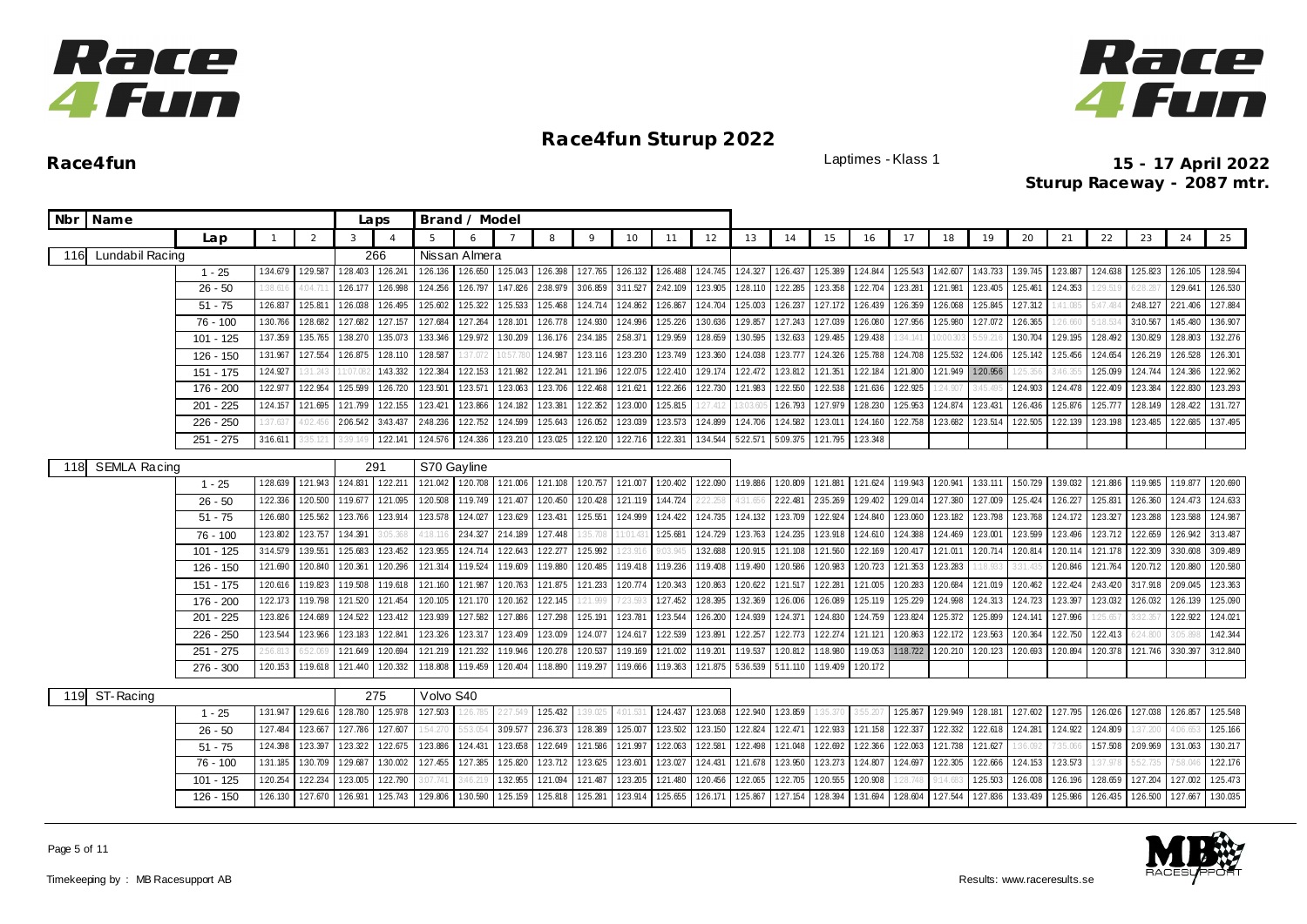



| Nbr Name                   |             |              |                |          | Laps           |             | Brand / Model |          |          |          |          |          |          |          |          |          |          |          |          |          |          |          |          |          |          |          |
|----------------------------|-------------|--------------|----------------|----------|----------------|-------------|---------------|----------|----------|----------|----------|----------|----------|----------|----------|----------|----------|----------|----------|----------|----------|----------|----------|----------|----------|----------|
|                            | Lap         | $\mathbf{1}$ | $\overline{2}$ | 3        | $\overline{A}$ | 5           | 6             |          | 8        | 9        | 10       | 11       | 12       | 13       | 14       | 15       | 16       | 17       | 18       | 19       | 20       | 21       | 22       | 23       | 24       | 25       |
| Lundabil Racing<br>116     |             |              |                |          | 266            |             | Nissan Almera |          |          |          |          |          |          |          |          |          |          |          |          |          |          |          |          |          |          |          |
|                            | $1 - 25$    | 1:34.679     | 129.587        | 1:28.403 | 1:26.241       | 126.136     | 1:26.650      | 1:25.043 | 1:26.398 | 127.765  | 1:26.132 | 126.488  | 1:24.745 | 1:24.327 | 126.437  | 125.389  | 1:24.844 | 125.543  | 1:42.607 | 1:43.733 | 1:39.745 | 1:23.887 | 124.638  | 1:25.823 | 1:26.105 | 1:28.594 |
|                            | $26 - 50$   | 1:38.61      | 4:04.71        | 126.177  | 1:26.998       | 124.256     | 126.797       | 1:47.826 | 2:38.979 | 3:06.859 | 3:11.527 | 2:42.109 | 1:23.905 | 1:28.110 | 1:22.285 | 123.358  | 1:22.704 | 1:23.281 | 121.981  | 1:23.405 | 1:25.461 | 124.353  | 29.519   | 6:28.28  | 129.641  | 126.530  |
|                            | $51 - 75$   | 126.837      | 1:25.811       | 1:26.038 | 1:26.495       | 1:25.602    | 1:25.322      | 1:25.533 | 1:25.468 | 124.714  | 1:24.862 | 1:26.867 | 1:24.704 | 1:25.003 | 126.237  | 127.172  | 1:26.439 | 1:26.359 | 1:26.068 | 1:25.845 | 1:27.312 | :41.085  | 5:47.484 | 2:48.127 | 2:21.406 | 1:27.884 |
|                            | $76 - 100$  | 1:30.766     | 1:28.682       | 1:27.682 | 127.157        | 1:27.684    | 1:27.264      | 1:28.101 | 126.778  | 124.930  | 124.996  | 125.226  | 1:30.636 | 129.857  | 1:27.243 | 127.039  | 1:26.080 | 127.956  | 1:25.980 | 127.072  | 1:26.365 | 26.660   |          | 3:10.567 | 1:45.480 | 1:36.907 |
|                            | $101 - 125$ | 1:37.359     | 1:35.765       | 1:38.270 | 1:35.073       | 1:33.346    | 1:29.972      | 1:30.209 | 1:36.176 | 2:34.185 | 2:58.371 | 1:29.959 | 1:28.659 | 1:30.595 | 1:32.633 | 1:29.485 | 1:29.438 | 34.14    | 0:00.30  | 5:59.21  | 1:30.704 | 1:29.195 | 1:28.492 | 1:30.829 | 1:28.803 | 1:32.276 |
|                            | 126 - 150   | 1:31.967     | 1:27.554       | 1:26.875 | 128.110        | 1:28.587    | :37.07        | 0:57.78  | 1:24.987 | 1:23.116 | 123.230  | 1:23.749 | 123.360  | 1:24.038 | 1:23.777 | 1:24.326 | 1:25.788 | 124.708  | 125.532  | 1:24.606 | 1:25.142 | 125.456  | 1:24.654 | 1:26.219 | 1:26.528 | 126.301  |
|                            | 151 - 175   | 124.927      | 31.243         | 1:07.08  | 1:43.332       | 1:22.384    | 1:22.153      | 1:21.982 | 122.241  | 1:21.196 | 122.075  | 122.410  | 129.174  | 122.472  | 1:23.812 | 121.351  | 1:22.184 | 1:21.800 | 1:21.949 | 1:20.956 | 25.356   | :46.35   | 1:25.099 | 124.744  | 1:24.386 | 122.962  |
|                            | 176 - 200   | 1:22.977     | 1:22.954       | 1:25.599 | 1:26.720       | 1:23.501    | 123.57        | 1:23.063 | 123.706  | 1:22.468 | 1:21.621 | 122.266  | 1:22.730 | 1:21.983 | 1:22.550 | 1:22.538 | 121.636  | 122.925  | 1:24.907 | 3:45.49  | 1:24.903 | 124.478  | 1:22.409 | 123.384  | 122.830  | 123.293  |
|                            | $201 - 225$ | 1:24.157     | 121.695        | 1:21.799 | 1:22.155       | 123.421     | 123.866       | 124.182  | 1:23.381 | 1:22.352 | 123.000  | 125.815  | 27.412   |          | 1:26.793 | 127.979  | 128.230  | 1:25.953 | 1:24.874 | 123.43'  | 1:26.436 | 1:25.876 | 125.777  | 1:28.149 | 1:28.422 | 1:31.727 |
|                            | $226 - 250$ | :37.63"      | 1:02.45        | 2:06.542 | 3:43.437       | 2:48.236    | 1:22.752      | 1:24.599 | 125.643  | 126.052  | 1:23.039 | 123.573  | 1:24.899 | 1:24.706 | 1:24.582 | 1:23.011 | 1:24.160 | 1:22.758 | 1:23.682 | 1:23.514 | 1:22.505 | 1:22.139 | 1:23.198 | 123.485  | 1:22.685 | 1:37.495 |
|                            | $251 - 275$ | 3:16.611     | 3:35.12        | 339.14   | 122.141        | 1:24.576    | 124.336       | 123.210  | 123.025  | 1:22.120 | 122.716  | 1:22.331 | 1:34.544 | 522.571  | 5:09.375 | 121.795  | 1:23.348 |          |          |          |          |          |          |          |          |          |
| <b>SEMLA Racing</b><br>118 |             |              |                |          | 291            | S70 Gayline |               |          |          |          |          |          |          |          |          |          |          |          |          |          |          |          |          |          |          |          |
|                            | $1 - 25$    | 1:28.639     | 1:21.943       | 1:24.831 | 122.211        | 121.042     | 1:20.708      | 121.006  | 1:21.108 | 1:20.757 | 121.007  | 120.402  | 1:22.090 | 1:19.886 | 1:20.809 | 1:21.881 | 1:21.624 | 1:19.943 | 1:20.941 | 1:33.111 | 150.729  | 1:39.032 | 121.886  | 1:19.985 | 1:19.877 | 1:20.690 |
|                            | $26 - 50$   | 1:22.336     | 1:20.500       | 1:19.677 | 1:21.095       | 1:20.508    | 1:19.749      | 121.407  | 1:20.450 | 1:20.428 | 1:21.119 | 1:44.724 | 22.258   | 4:31.65  | 2:22.481 | 2:35.269 | 1:29.402 | 1:29.014 | 127.380  | 127.009  | 1:25.424 | 126.227  | 1:25.831 | 1:26.360 | 124.473  | 124.633  |
|                            | $51 - 75$   | 1:26.680     | 1:25.562       | 1:23.766 | 1:23.914       | 1:23.578    | 1:24.027      | 1:23.629 | 123.431  | 1:25.551 | 1:24.999 | 124.422  | 124.735  | 1:24.132 | 1:23.709 | 122.924  | 1:24.840 | 1:23.060 | 1:23.182 | 1:23.798 | 1:23.768 | 124.172  | 1:23.327 | 1:23.288 | 1:23.588 | 124.987  |
|                            | $76 - 100$  | 1:23.802     | 123.757        | 1:34.391 | :05.36         | 4:18.1      | 2:34.32       | 2:14.189 | 127.448  |          | 1:01.43  | 1:25.681 | 1:24.729 | 123.763  | 1:24.235 | 123.918  | 1:24.610 | 124.388  | 1:24.469 | 1:23.00  | 123.599  | 123.496  | 1:23.712 | 1:22.659 | 1:26.942 | 3:13.487 |
|                            | $101 - 125$ | 3:14.579     | 1:39.551       | 125.683  | 1:23.452       | 123.955     | 124.71        | 1:22.643 | 122.277  | 125.992  | 23.91    | 9:03     | 1:32.688 | 1:20.915 | 1:21.108 | 1:21.560 | 122.169  | 1:20.41  | 121.011  | 120.71   | 1:20.814 | 120.114  | 121.178  | 122.309  | 3:30.608 | 3:09.489 |
|                            | 126 - 150   | 1:21.690     | 1:20.840       | 1:20.361 | 1:20.296       | 1:21.314    | 1:19.524      | 1:19.609 | 1:19.880 | 1:20.485 | 1:19.418 | 1:19.236 | 1:19.408 | 1:19.490 | 1:20.586 | 1:20.983 | 1:20.723 | 1:21.353 | 123.283  | :18.93   |          | 1:20.846 | 1:21.764 | 1:20.712 | 1:20.880 | 1:20.580 |
|                            | 151 - 175   | 1:20.616     | 1:19.823       | 1:19.508 | 1:19.618       | 1:21.160    | 121.987       | 1:20.763 | 121.875  | 121.233  | 1:20.774 | 1:20.343 | 1:20.863 | 1:20.622 | 1:21.517 | 122.281  | 1:21.005 | 1:20.283 | 1:20.684 | 121.019  | 1:20.462 | 1:22.424 | 2:43.420 | 3:17.918 | 2:09.045 | 123.363  |
|                            | 176 - 200   | 1:22.173     | 1:19.798       | 1:21.520 | 121.454        | 1:20.105    | 1:21.170      | 1:20.162 | 1:22.145 | 21.999   | 23.59    | 127.452  | 1:28.395 | 1:32.369 | 126.006  | 126.089  | 1:25.119 | 125.229  | 1:24.998 | 124.313  | 124.723  | 123.397  | 123.032  | 1:26.032 | 126.139  | 125.090  |
|                            | $201 - 225$ | 123.826      | 124.689        | 124.522  | 123.412        | 123.939     | 1:27.582      | 127.886  | 127.298  | 125.191  | 1:23.781 | 123.544  | 126.200  | 124.939  | 1:24.371 | 124.830  | 124.759  | 1:23.824 | 125.372  | 1:25.899 | 124.141  | 1:27.996 | 25.657   | 3:32.35  | 1:22.922 | 124.021  |
|                            | $226 - 250$ | 123.544      | 123.966        | 1:23.183 | 1:22.841       | 1:23.326    | 1:23.317      | 123.409  | 1:23.009 | 124.077  | 124.617  | 1:22.539 | 1:23.891 | 122.257  | 1:22.773 | 122.274  | 1:21.121 | 1:20.863 | 1:22.172 | 1:23.563 | 1:20.364 | 122.750  | 1:22.413 | $-24.80$ |          | 1:42.344 |
|                            | $251 - 275$ | 2:56.81      | 52.0           | 1:21.649 | 1:20.694       | 1:21.219    | 1:21.232      | 1:19.946 | 1:20.278 | 1:20.537 | 1:19.169 | 1:21.002 | 1:19.201 | 1:19.537 | 1:20.812 | 1:18.980 | 1:19.053 | 1:18.722 | 1:20.210 | 1:20.123 | 120.693  | 1:20.894 | 1:20.378 | 121.746  | 3:30.397 | 3:12.840 |
|                            | $276 - 300$ | 1:20.153     | 1:19.618       | 1:21.440 | 1:20.332       | 1:18.808    | 1:19.459      | 1:20.404 | 1:18.890 | 1:19.297 | 1:19.666 | 1:19.363 | 1:21.875 | 5:36.539 | 5:11.110 | 1:19.409 | 1:20.172 |          |          |          |          |          |          |          |          |          |
| 119<br>ST-Racing           |             |              |                |          | 275            | Volvo S40   |               |          |          |          |          |          |          |          |          |          |          |          |          |          |          |          |          |          |          |          |
|                            | $1 - 25$    | 1:31.947     | 129.616        | 128.780  | 125.978        | 127.503     | 1:26.785      | 2:27.549 | 125.432  | 39.025   | 4:01.53  | 1:24.437 | 123.068  | 122.940  | 123.859  | :35.370  | 3:55.20  | 1:25.867 | 1:29.949 | 1:28.181 | 1:27.602 | 127.795  | 126.026  | 1:27.038 | 126.857  | 125.548  |
|                            | $26 - 50$   | 1:27.484     | 123.667        | 127.786  | 127.607        | 1:54.270    | 5:53.05       | 3:09.577 | 2:36.373 | 128.389  | 125.007  | 1:23.502 | 123.150  | 1:22.824 | 122.471  | 122.933  | 1:21.158 | 122.337  | 122.332  | 122.618  | 124.281  | 1:24.922 | 1:24.809 | 37.200   | 4:06.65  | 125.166  |
|                            | $51 - 75$   | 1:24.398     | 123.397        | 123.322  | 1:22.675       | 123.886     | 124.431       | 123.658  | 122.649  | 121.586  | 121.997  | 1:22.063 | 1:22.581 | 1:22.498 | 1:21.048 | 122.692  | 122.366  | 122.063  | 1:21.738 | 121.627  | :36.092  | 35.06    | 1:57.508 | 2:09.969 | 1:31.063 | 1:30.217 |
|                            | 76 - 100    | 1:31.185     | 1:30.709       | 129.687  | 1:30.002       | 1:27.455    | 127.385       | 1:25.820 | 123.712  | 1:23.625 | 1:23.601 | 123.027  | 1:24.431 | 121.678  | 1:23.950 | 123.273  | 1:24.807 | 124.697  | 1:22.305 | 122.666  | 124.153  | 123.573  | :37.978  | 5:52.735 | 7:58.046 | 122.176  |
|                            | $101 - 125$ | 1:20.254     | 122.234        | 1:23.005 | 1:22.790       | 3:07.741    | 3:46.21       | 1:32.955 | 1:21.094 | 1:21.487 | 123.205  | 1:21.480 | 1:20.456 | 1:22.065 | 1:22.705 | 1:20.555 | 1:20.908 | 28.74    | 9:14.68: | 1:25.503 | 1:26.008 | 1:26.196 | 1:28.659 | 1:27.204 | 1:27.002 | 125.473  |
|                            | 126 - 150   | 1:26.130     | 127.670        | 1:26.931 | 1:25.743       | 1:29.806    | 1:30.590      | 125.159  | 1:25.818 | 1:25.281 | 1:23.914 | 1:25.655 | 1:26.171 | 125.867  | 1:27.154 | 1:28.394 | 1:31.694 | 128.604  | 127.544  | 127.836  | 1:33.439 | 125.986  | 1:26.435 | 1:26.500 | 127.667  | 1:30.035 |

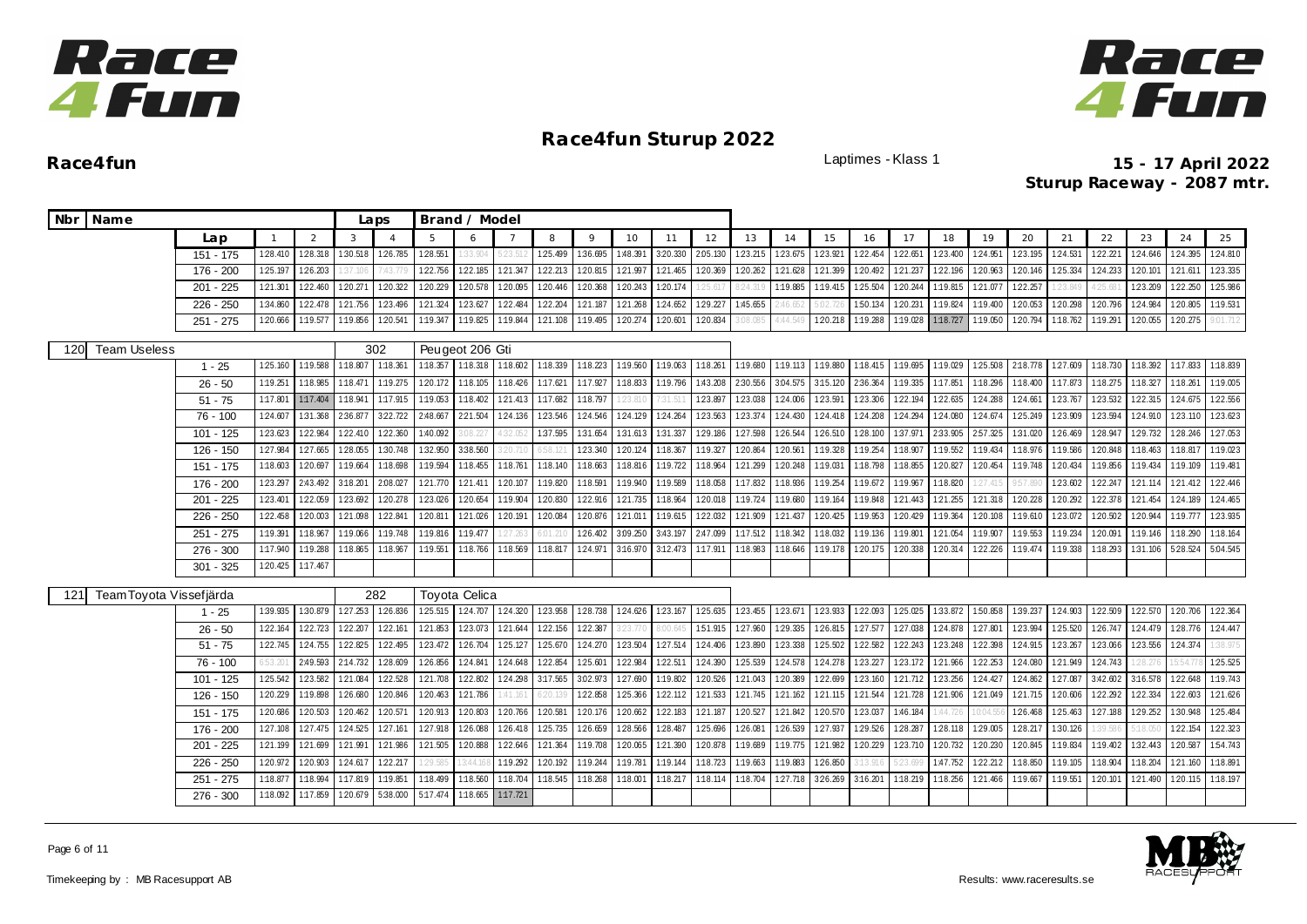



**Race4fun** Laptimes - Klass 1 **15 - 17 April 2022 Sturup Raceway - 2087 mtr.**

| Nbr Name                       |             |                 |          |          | Laps     |             | Brand / Model        |          |                   |                 |                 |          |          |          |          |                   |          |          |          |          |          |          |          |                 |          |          |
|--------------------------------|-------------|-----------------|----------|----------|----------|-------------|----------------------|----------|-------------------|-----------------|-----------------|----------|----------|----------|----------|-------------------|----------|----------|----------|----------|----------|----------|----------|-----------------|----------|----------|
|                                | Lap         | $\mathbf{1}$    | 2        | 3        |          | $5^{\circ}$ | $\epsilon$           |          | 8                 | 9               | 10              | 11       | 12       | 13       | 14       | 15                | 16       | 17       | 18       | 19       | 20       | 21       | 22       | 23              | 24       | 25       |
|                                | $151 - 175$ | 128.410         | 128.318  | 1:30.518 | 126.785  | 1:28.551    | 33.904               | 5:23.51  | 1:25.499          | 1:36.695        | 1:48.391        | 320.330  | 2:05.130 | 123.215  | 123.675  | 123.921           | 122.454  | 122.651  | 123.400  | 124.951  | 123.195  | 1:24.531 | 122.221  | 124.646         | 124.395  | 124.810  |
|                                | 176 - 200   | 1:25.197        | 1:26.203 | 37.106   | 7:43.779 | 1:22.756    | 122.185              | 121.347  | 122.213           | 1:20.815        | 121.997         | 121.465  | 1:20.369 | 1:20.262 | 121.628  | 1:21.399          | 1:20.492 | 121.237  | 1:22.196 | 120.963  | 1:20.146 | 125.334  | 124.233  | 1:20.101        | 121.611  | 123.335  |
|                                | $201 - 225$ | 1:21.301        | 122.460  | 1:20.271 | 120.322  | 1:20.229    | 1:20.578             | 1:20.095 | 1:20.446          | 1:20.368        | 1:20.243        | 120.174  | 25.617   | 8:24.319 | 1:19.885 | 1:19.415          | 1:25.504 | 1:20.244 | 1:19.815 | 121.077  | 1:22.257 | 1:23.849 | 4.25.68  | 123.209         | 1:22.250 | 125.986  |
|                                | $226 - 250$ | 1:34.860        | 122.478  | 121.756  | 1:23.496 | 1:21.324    | 1:23.627             | 1:22.484 | 1:22.204          | 121.187         | 1:21.268        | 124.652  | 1:29.227 | 1:45.655 | :46.652  |                   | 1:50.134 | 1:20.231 | 1:19.824 | 1:19.400 | 1:20.053 | 1:20.298 | 1:20.796 | 1:24.984        | 1:20.805 | 1:19.531 |
|                                | $251 - 275$ | 1:20.666        | 1:19.577 | 1:19.856 | 1:20.541 | 1:19.347    | 1:19.825             | 1:19.844 | 1:21.108 1:19.495 |                 | 1:20.274        | 1:20.601 | 120.834  | 08.085   | 4:44.549 | 120.218           | 1:19.288 | 1:19.028 | 1:18.727 | 1:19.050 | 1:20.794 | 1:18.762 | 1:19.291 | 120.055         | 120.275  | 9.01.712 |
| <b>Team Useless</b><br>120     |             |                 |          |          | 302      |             | Peugeot 206 Gti      |          |                   |                 |                 |          |          |          |          |                   |          |          |          |          |          |          |          |                 |          |          |
|                                | $1 - 25$    | 1:25.160        | 1:19.588 | 1:18.807 | 1:18.361 | 1:18.357    | 1:18.318 1:18.602    |          | 1:18.339 1:18.223 |                 | 1:19.560        | 1:19.063 | 1:18.261 | 1:19.680 |          | 1:19.113 1:19.880 | 1:18.415 | 1:19.695 | 1:19.029 | 1:25.508 | 2:18.778 | 1:27.609 | 1:18.730 | 1:18.392        | 1:17.833 | 1:18.839 |
|                                | $26 - 50$   | 1:19.251        | 1:18.985 | 1:18.471 | 1:19.275 | 120.172     | 1:18.105             | 1:18.426 | 1:17.621          | 1:17.927        | 1:18.833        | 1:19.796 | 1:43.208 | 2:30.556 | 3.04.575 | 3:15.120          | 2:36.364 | 1:19.335 | 1:17.851 | 1:18.296 | 1:18.400 | 1:17.873 | 1:18.275 | 1:18.327        | 1:18.261 | 1:19.005 |
|                                | $51 - 75$   | 1:17.801        | 1:17.404 | 1:18.941 | 1:17.915 | 1:19.053    | 1:18.402             | 1:21.413 | 1:17.682          | 1:18.797        | 23.81           |          | 123.897  | 123.038  | 1:24.006 | 1:23.591          | 1:23.306 | 1:22.194 | 1:22.635 | 1:24.288 | 1:24.661 | 123.767  | 1:23.532 | 1:22.315        | 124.675  | 122.556  |
|                                | $76 - 100$  | 124.607         | 1:31.368 | 2:36.877 | 322.722  | 2:48.667    | 221.504              | 124.136  | 123.546 124.546   |                 | 124.129         | 124.264  | 1:23.563 | 123.374  | 124.430  | 124.418           | 124.208  | 124.294  | 124.080  | 124.674  | 1:25.249 | 123.909  | 123.594  | 1:24.910        | 123.110  | 123.623  |
|                                | 101 - 125   | 123.623         | 1:22.984 | 1:22.410 | 1:22.360 | 1:40.092    | 3:08.22              | 4:32.05  | 137.595 131.654   |                 | 1:31.613        | 1:31.337 | 129.186  | 1:27.598 | 1:26.544 | 1:26.510          | 1:28.100 | 1:37.971 | 2:33.905 | 2:57.325 | 1:31.020 | 1:26.469 | 1:28.947 | 1:29.732        | 1:28.246 | 127.053  |
|                                | 126 - 150   | 1:27.984        | 127.665  | 1:28.055 | 1:30.748 | 1:32.950    | 3:38.560             | 3:20.71  | 6:58.1            | 123.340         | 1:20.124        | 1:18.367 | 1:19.327 | 1:20.864 | 1:20.561 | 1:19.328          | 1:19.254 | 1:18.907 | 1:19.552 | 1:19.434 | 1:18.976 | 1:19.586 | 1:20.848 | 1:18.463        | 1:18.817 | 1:19.023 |
|                                | 151 - 175   | 1:18.603        | 1:20.697 | 1:19.664 | 1:18.698 | 1:19.594    | 1:18.455             | 1:18.761 | 1:18.140          | 1:18.663        | 1:18.816        | 1:19.722 | 1:18.964 | 121.299  | 1:20.248 | 1:19.031          | 1:18.798 | 1:18.855 | 1:20.827 | 1:20.454 | 1:19.748 | 1:20.434 | 1:19.856 | 1:19.434        | 1:19.109 | 1:19.481 |
|                                | 176 - 200   | 123.297         | 2:43.492 | 3:18.201 | 2:08.027 | 1:21.770    | 121.411              | 1:20.107 | 1:19.820          | 1:18.591        | 1:19.940        | 1:19.589 | 1:18.058 | 1:17.832 | 1:18.936 | 1:19.254          | 1:19.672 | 1:19.967 | 1:18.820 | 27.41    | 9:57.89  | 123.602  | 122.247  | 1:21.114        | 121.412  | 122.446  |
|                                | $201 - 225$ | 1:23.401        | 122.059  | 1:23.692 | 1:20.278 | 1:23.026    | 1:20.654             | 1:19.904 | 1:20.830          | 1:22.916        | 1:21.735        | 1:18.964 | 1:20.018 | 1:19.724 | 1:19.680 | 1:19.164          | 1:19.848 | 121.443  | 1:21.255 | 1:21.318 | 1:20.228 | 1:20.292 | 1:22.378 | 1:21.454        | 1:24.189 | 124.465  |
|                                | $226 - 250$ | 1:22.458        | 1:20.003 | 1:21.098 | 122.841  | 1:20.811    | 121.026              | 1:20.191 | 1:20.084          | 1:20.876        | 121.011         | 1:19.615 | 122.032  | 121.909  | 121.437  | 1:20.425          | 1:19.953 | 1:20.429 | 1:19.364 | 120.108  | 1:19.610 | 123.072  | 120.502  | 1:20.944        | 1:19.777 | 123.935  |
|                                | $251 - 275$ | 1:19.391        | 1:18.967 | 1:19.066 | 1:19.748 | 1:19.816    | 1:19.477             | 1:27.26  | 6:01.2            | 126.402         | 3:09.250        | 3:43.197 | 2:47.099 | 1:17.512 | 1:18.342 | 1:18.032          | 1:19.136 | 1:19.801 | 1:21.054 | 1:19.907 | 1:19.553 | 1:19.234 | 1:20.091 | 1:19.146        | 1:18.290 | 1:18.164 |
|                                | 276 - 300   | 1:17.940        | 1:19.288 | 1:18.865 | 1:18.967 | 1:19.551    | 1:18.766             | 1:18.569 | 1:18.817          | 1:24.971        | 3:16.970        | 3:12.473 | 1:17.911 | 1:18.983 | 1:18.646 | 1:19.178          | 1:20.175 | 1:20.338 | 1:20.314 | 122.226  | 1:19.474 | 1:19.338 | 1:18.293 | 1:31.106        | 5:28.524 | 5:04.545 |
|                                | $301 - 325$ | 120.425         | 1:17.467 |          |          |             |                      |          |                   |                 |                 |          |          |          |          |                   |          |          |          |          |          |          |          |                 |          |          |
| Team Toyota Vissefjärda<br>121 |             |                 |          |          | 282      |             | <b>Toyota Celica</b> |          |                   |                 |                 |          |          |          |          |                   |          |          |          |          |          |          |          |                 |          |          |
|                                | $1 - 25$    | 1:39.935        | 1:30.879 | 127.253  | 126.836  | 125.515     | 124.707 124.320      |          |                   | 123.958 128.738 | 124.626 123.167 |          | 125.635  | 123.455  | 123.671  | 123.933           | 122.093  | 125.025  | 1:33.872 | 1:50.858 | 1:39.237 | 124.903  | 122.509  | 122.570 120.706 |          | 122.364  |
|                                | $26 - 50$   | 1:22.164        | 122.723  | 122.207  | 122.161  | 121.853     | 123.073              | 121.644  | 122.156 122.387   |                 | 3:23.77         |          | 1:51.915 | 127.960  | 1:29.335 | 126.815           | 127.577  | 127.038  | 1:24.878 | 127.801  | 1:23.994 | 1:25.520 | 126.747  | 124.479         | 128.776  | 124.447  |
|                                | $51 - 75$   | 1:22.745        | 124.755  | 1:22.825 | 122.495  | 123.472     | 126.704              | 1:25.127 | 125.670           | 124.270         | 1:23.504        | 127.514  | 1:24.406 | 1:23.890 | 1:23.338 | 125.502           | 122.582  | 1:22.243 | 1:23.248 | 1:22.398 | 1:24.915 | 123.267  | 123.066  | 1:23.556        | 124.374  | 38.975   |
|                                | $76 - 100$  | $53.20^{\circ}$ | 2:49.593 | 2:14.732 | 128.609  | 126.856     | 124.841              | 124.648  | 122.854 125.601   |                 | 1:22.984        | 122.511  | 124.390  | 1:25.539 | 1:24.578 | 124.278           | 123.227  | 123.172  | 121.966  | 122.253  | 1:24.080 | 121.949  | 1:24.743 | 28.27           | 5:54.77  | 1:25.525 |
|                                | $101 - 125$ | 125.542         | 123.582  | 121.084  | 122.528  | 121.708     | 1:22.802             | 124.298  | 3:17.565 3:02.973 |                 | 127.690         | 1:19.802 | 1:20.526 | 121.043  | 120.389  | 122.699           | 123.160  | 121.712  | 123.256  | 124.427  | 1:24.862 | 127.087  | 3:42.602 | 3:16.578        | 122.648  | 1:19.743 |
|                                | $126 - 150$ | 1:20.229        | 1:19.898 | 1:26.680 | 1:20.846 | 1:20.463    | 1:21.786             | 1:41.161 | 6:20.13           | 122.858         | 1:25.366        | 122.112  | 1:21.533 | 121.745  | 121.162  | 121.115           | 1:21.544 | 1:21.728 | 121.906  | 1:21.049 | 121.715  | 1:20.606 | 1:22.292 | 1:22.334        | 1:22.603 | 121.626  |
|                                | 151 - 175   | 1:20.686        | 1:20.503 | 1:20.462 | 1:20.571 | 1:20.913    | 1:20.803             | 1:20.766 | 1:20.581          | 1:20.176        | 1:20.662        | 1:22.183 | 1:21.187 | 1:20.527 | 1:21.842 | 1:20.570          | 1:23.037 | 1:46.184 | :44.726  | 0:04     | 1:26.468 | 1:25.463 | 1:27.188 | 129.252         | 1:30.948 | 125.484  |
|                                | 176 - 200   | 1:27.108        | 1:27.475 | 1:24.525 | 127.161  | 1:27.918    | 1:26.088             | 1:26.418 | 125.735           | 1:26.659        | 128.566         | 1:28.487 | 125.696  | 1:26.081 | 1:26.539 | 127.937           | 1:29.526 | 128.287  | 1:28.118 | 129.005  | 1:28.217 | 1:30.126 | 1:39.586 | 5:18.05         | 122.154  | 122.323  |
|                                | 201 - 225   | 1:21.199        | 121.699  | 1:21.991 | 121.986  | 1:21.505    | 1:20.888             | 1:22.646 | 1:21.364          | 1:19.708        | 1:20.065        | 1:21.390 | 1:20.878 | 1:19.689 | 1:19.775 | 121.982           | 1:20.229 | 123.710  | 1:20.732 | 1:20.230 | 1:20.845 | 1:19.834 | 1:19.402 | 1:32.443        | 1:20.587 | 1:54.743 |
|                                | 226 - 250   | 1:20.972        | 1:20.903 | 124.617  | 122.217  | :29.585     | 3:44                 | 1:19.292 | 120.192           | 1:19.244        | 1:19.781        | 1:19.144 | 1:18.723 | 1:19.663 | 1:19.883 | 126.850           |          |          | 1:47.752 | 122.212  | 1:18.850 | 1:19.105 | 1:18.904 | 1:18.204        | 1:21.160 | 1:18.891 |
|                                | $251 - 275$ | 1:18.877        | 1:18.994 | 1:17.819 | 1:19.851 | 1:18.499    | 1:18.560             | 1:18.704 | 1:18.545          | 1:18.268        | 1:18.001        | 1:18.217 | 1:18.114 | 1:18.704 | 127.718  | 3:26.269          | 3:16.201 | 1:18.219 | 1:18.256 | 1:21.466 | 1:19.667 | 1:19.551 | 1:20.101 | 121.490         | 1:20.115 | 1:18.197 |
|                                | $276 - 300$ | 1:18.092        | 1:17.859 | 1:20.679 | 5:38.000 | 5:17.474    | 1:18.665             | 1:17.721 |                   |                 |                 |          |          |          |          |                   |          |          |          |          |          |          |          |                 |          |          |



Page 6 of 11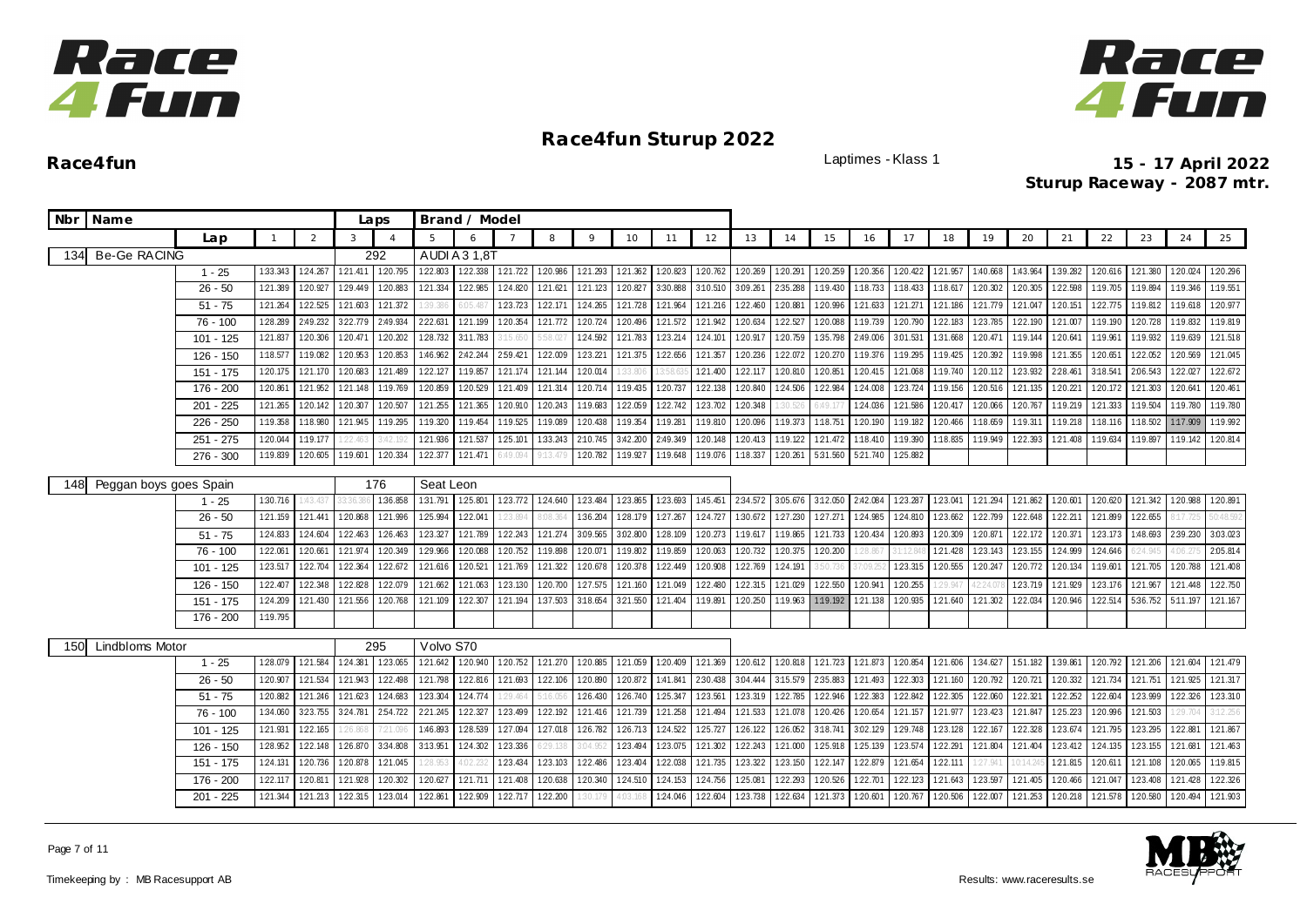



| Nbr Name                      |             |          |          |          | Laps           |           | Brand / Model     |          |          |          |          |          |          |                   |                   |                  |          |          |          |          |          |          |          |          |                   |          |
|-------------------------------|-------------|----------|----------|----------|----------------|-----------|-------------------|----------|----------|----------|----------|----------|----------|-------------------|-------------------|------------------|----------|----------|----------|----------|----------|----------|----------|----------|-------------------|----------|
|                               | Lap         |          | 2        | 3        | $\overline{4}$ | 5         |                   |          | 8        | $\circ$  | 10       | 11       | 12       | 13                | 14                | 15               | 16       | 17       | 18       | 19       | 20       | 21       | 22       | 23       | 24                | 25       |
| <b>Be-Ge RACING</b><br>134    |             |          |          |          | 292            |           | AUDI A 3 1,8T     |          |          |          |          |          |          |                   |                   |                  |          |          |          |          |          |          |          |          |                   |          |
|                               | $1 - 25$    | 1:33.343 | 1:24.267 | 121.411  | 1:20.795       | 1:22.803  | 122.338           | 1:21.722 | 120.986  | 121.293  | 121.362  | 1:20.823 | 1:20.762 | 1:20.269          | 1:20.291          | 1:20.259         | 1:20.356 | 1:20.422 | 1:21.957 | 1:40.668 | 1:43.964 | 1:39.282 | 1:20.616 | 121.380  | 1:20.024          | 1:20.296 |
|                               | $26 - 50$   | 1:21.389 | 120.927  | 1:29.449 | 120.883        | 121.334   | 122.985           | 124.820  | 121.621  | 121.123  | 1:20.827 | 3:30.888 | 3:10.510 | 3:09.261          | 2:35.288          | 1:19.430         | 1:18.733 | 1:18.433 | 1:18.617 | 1:20.302 | 1:20.305 | 1:22.598 | 1:19.705 | 1:19.894 | 1:19.346          | 1:19.551 |
|                               | $51 - 75$   | 121.264  | 122.525  | 121.603  | 121.372        | 1:39.38   | 05.48             | 123.723  | 1:22.17  | 124.265  | 121.728  | 1:21.964 | 121.216  | 122.460           | 1:20.881          | 120.996          | 121.633  | 121.271  | 1:21.186 | 121.779  | 121.047  | 1:20.151 | 122.775  | 1:19.812 | 1:19.618          | 120.977  |
|                               | 76 - 100    | 1:28.289 | 2:49.232 | 322.779  | 2:49.934       | 222.631   | 121.199           | 1:20.354 | 121.772  | 1:20.724 | 1:20.496 | 121.572  | 121.942  | 120.634           | 1:22.527          | 120.088          | 1:19.739 | 1:20.790 | 1:22.183 | 123.785  | 1:22.190 | 121.007  | 1:19.190 | 1:20.728 | 1:19.832          | 1:19.819 |
|                               | $101 - 125$ | 1:21.837 | 1:20.306 | 1:20.471 | 120.202        | 128.732   | 3:11.783          |          | 58.02    | 124.592  | 121.783  | 123.214  | 1:24.101 | 120.917           | 1:20.759          | 1:35.798         | 2:49.006 | 3.01.531 | 1:31.668 | 1:20.471 | 1:19.144 | 120.64   | 1:19.961 | 1:19.932 | 1:19.639          | 121.518  |
|                               | $126 - 150$ | 1:18.577 | 1:19.082 | 120.953  | 120.853        | 1:46.962  | 2:42.244 2:59.421 |          | 1:22.009 | 123.221  | 121.375  | 122.656  | 121.357  | 120.236           | 122.072           | 120.270          | 1:19.376 | 1:19.295 | 1:19.425 | 1:20.392 | 1:19.998 | 1:21.355 | 1:20.651 | 122.052  | 1:20.569          | 121.045  |
|                               | 151 - 175   | 1:20.175 | 121.170  | 120.683  | 121.489        | 1:22.127  | 1:19.857          | 121.174  | 1:21.144 | 1:20.014 | :33.806  |          | 1:21.400 | 122.117           | 1:20.810          | 1:20.851         | 1:20.415 | 121.068  | 1:19.740 | 120.112  | 123.932  | 2:28.461 | 3:18.541 | 2:06.543 | 122.027           | 122.672  |
|                               | 176 - 200   | 1:20.861 | 1:21.952 | 1:21.148 | 1:19.769       | 1:20.859  | 1:20.529          | 1:21.409 | 1:21.314 | 1:20.714 | 1:19.435 | 1:20.737 | 1:22.138 | 1:20.840          | 1:24.506          | 1:22.984         | 1:24.008 | 123.724  | 1:19.156 | 1:20.516 | 121.135  | 1:20.221 | 1:20.172 | 1:21.303 | 1:20.641          | 1:20.461 |
|                               | 201 - 225   | 1:21.265 | 1:20.142 | 1:20.307 | 1:20.507       | 1:21.255  | 1:21.365          | 1:20.910 | 1:20.243 | 1:19.683 | 1:22.059 | 122.742  | 123.702  | 120.348           | 30.52             | 6:49.17          | 1:24.036 | 121.586  | 1:20.417 | 120.066  | 1:20.767 | 1:19.219 | 121.333  | 1:19.504 | 1:19.780          | 1:19.780 |
|                               | 226 - 250   | 1:19.358 | 1:18.980 | 1:21.945 | 1:19.295       | 1:19.320  | 1:19.454          | 1:19.525 | 1:19.089 | 1:20.438 | 1:19.354 | 1:19.281 | 1:19.810 | 1:20.096          | 1:19.373          | 1:18.751         | 1:20.190 | 1:19.182 | 1:20.466 | 1:18.659 | 1:19.311 | 1:19.218 | 1:18.116 | 1:18.502 | 1:17.909          | 1:19.992 |
|                               | 251 - 275   | 1:20.044 | 1:19.177 | 1:22.463 | :42.19.        | 121.936   | 121.537           | 125.101  | 1:33.243 | 2:10.745 | 3:42.200 | 2:49.349 | 1:20.148 | 120.413           | 1:19.122          | 121.472          | 1:18.410 | 1:19.390 | 1:18.835 | 1:19.949 | 1:22.393 | 1:21.408 | 1:19.634 | 1:19.897 | 1:19.142          | 1:20.814 |
|                               | $276 - 300$ | 1:19.839 | 1:20.605 | 1:19.601 | 1:20.334       | 1:22.377  | 1:21.471          | :49.09.  | $-13.47$ | 1:20.782 | 1:19.927 | 1:19.648 |          | 1:19.076 1:18.337 | 1:20.261          | 5:31.560         | 5:21.740 | 125.882  |          |          |          |          |          |          |                   |          |
| Peggan boys goes Spain<br>148 |             |          |          |          | 176            | Seat Leon |                   |          |          |          |          |          |          |                   |                   |                  |          |          |          |          |          |          |          |          |                   |          |
|                               | $1 - 25$    | 1:30.716 | 1:43.437 | 33:36.3  | 1:36.858       | 1:31.791  | 1:25.801          | 123.772  | 1:24.640 | 1:23.484 | 1:23.865 | 123.693  | 1:45.451 |                   | 2:34.572 3:05.676 | 3:12.050         | 2:42.084 | 123.287  | 1:23.041 | 121.294  | 121.862  | 1:20.601 | 1:20.620 | 121.342  | 1:20.988          | 1:20.891 |
|                               | $26 - 50$   | 1:21.159 | 121.441  | 120.868  | 121.996        | 1:25.994  | 122.041           | 1:23.894 | 3:08.36  | 1:36.204 | 1:28.179 | 127.267  | 1:24.727 | 1:30.672          | 1:27.230          | 127.271          | 1:24.985 | 124.810  | 123.662  | 1:22.799 | 1:22.648 | 122.211  | 1:21.899 | 1:22.655 | 17.725            | 0:48.592 |
|                               | $51 - 75$   | 1:24.833 | 124.604  | 1:22.463 | 126.463        | 123.327   | 121.789           | 122.243  | 121.274  | 3:09.565 | 3:02.800 | 1:28.109 | 120.273  | 1:19.617          | 1:19.865          | 1:21.733         | 1:20.434 | 120.893  | 1:20.309 | 120.871  | 122.172  | 120.37   | 123.173  | 1:48.693 | 2:39.230          | 3:03.023 |
|                               | $76 - 100$  | 1:22.061 | 1:20.661 | 1:21.974 | 1:20.349       | 1:29.966  | 1:20.088          | 1:20.752 | 1:19.898 | 1:20.071 | 1:19.802 | 1:19.859 | 1:20.063 | 1:20.732          | 1:20.375          | 1:20.200         | 28.86    |          | 1:21.428 | 123.143  | 123.155  | 1:24.999 | 124.646  | 24.94    |                   | 2:05.814 |
|                               | $101 - 125$ | 1:23.517 | 1:22.704 | 1:22.364 | 122.672        | 1:21.616  | 1:20.521          | 121.769  | 1:21.322 | 1:20.678 | 1:20.378 | 1:22.449 | 1:20.908 | 1:22.769          | 1:24.191          | 3:50.736         | 1:09.2   | 123.315  | 1:20.555 | 1:20.247 | 1:20.772 | 1:20.134 | 1:19.601 | 121.705  | 1:20.788          | 1:21.408 |
|                               | 126 - 150   | 1:22.407 | 122.348  | 1:22.828 | 1:22.079       | 121.662   | 1:21.063          | 123.130  | 1:20.700 | 127.575  | 121.160  | 121.049  | 1:22.480 | 122.315           | 1:21.029          | 122.550          | 1:20.941 | 1:20.255 | 29.94    | 12:24    | 123.719  | 121.929  | 1:23.176 | 1:21.967 | 121.448           | 1:22.750 |
|                               | 151 - 175   | 1:24.209 | 121.430  | 121.556  | 1:20.768       | 1:21.109  | 122.307           | 1:21.194 | 1:37.503 | 3:18.654 | 3:21.550 | 121.404  | 1:19.891 | 1:20.250          | 1:19.963          | 1:19.192 121.138 |          | 1:20.935 | 1:21.640 | 121.302  | 1:22.034 | 1:20.946 | 1:22.514 |          | 5:36.752 5:11.197 | 121.167  |
|                               | 176 - 200   | 1:19.795 |          |          |                |           |                   |          |          |          |          |          |          |                   |                   |                  |          |          |          |          |          |          |          |          |                   |          |
| <b>Lindbloms Motor</b><br>150 |             |          |          |          | 295            | Volvo S70 |                   |          |          |          |          |          |          |                   |                   |                  |          |          |          |          |          |          |          |          |                   |          |
|                               | $1 - 25$    | 1:28.079 | 121.584  | 124.381  | 123.065        | 121.642   | 120.940           | 120.752  | 121.270  | 1:20.885 | 1:21.059 | 1:20.409 | 121.369  | 120.612           | 1:20.818          | 121.723          | 121.873  | 1:20.854 | 121.606  | 1:34.627 | 151.182  | 1:39.861 | 1:20.792 | 121.206  | 121.604           | 121.479  |
|                               | $26 - 50$   | 1:20.907 | 121.534  | 1:21.943 | 1:22.498       | 121.798   | 122.816           | 1:21.693 | 122.106  | 1:20.890 | 1:20.872 | 1:41.841 | 2:30.438 | 3:04.444          | 3:15.579          | 2:35.883         | 1:21.493 | 122.303  | 1:21.160 | 1:20.792 | 1:20.721 | 1:20.332 | 121.734  | 121.751  | 121.925           | 121.317  |
|                               | $51 - 75$   | 1:20.882 | 121.246  | 121.623  | 1:24.683       | 123.304   | 124.774           | 1:29.464 | 5:16.05  | 126.430  | 1:26.740 | 125.347  | 1:23.561 | 123.319           | 122.785           | 1:22.946         | 122.383  | 122.842  | 1:22.305 | 122.060  | 122.321  | 122.252  | 122.604  | 123.999  | 122.326           | 123.310  |
|                               | $76 - 100$  | 1:34.060 | 323.755  | 3:24.781 | 254.722        | 2:21.245  | 122.327           | 1:23.499 | 1:22.192 | 121.416  | 1:21.739 | 121.258  | 1:21.494 | 121.533           | 1:21.078          | 1:20.426         | 1:20.654 | 121.157  | 121.977  | 123.423  | 1:21.847 | 125.223  | 1:20.996 | 1:21.503 | 1:29.704          | 3:12.256 |
|                               | 101 - 125   | 121.931  | 122.165  | 1:26.868 | 7:21.09        | 1:46.893  | 1:28.539          | 127.094  | 127.018  | 1:26.782 | 126.713  | 124.522  | 125.727  | 126.122           | 126.052           | 3:18.741         | 3.02.129 | 129.748  | 1:23.128 | 122.167  | 1:22.328 | 123.674  | 121.795  | 123.295  | 1:22.881          | 121.867  |
|                               | 126 - 150   | 1:28.952 | 1:22.148 | 1:26.870 | 3:34.808       | 3:13.951  | 124.302           | 1:23.336 | $-29.13$ | :04.952  | 1:23.494 | 123.075  | 1:21.302 | 122.243           | 1:21.000          | 1:25.918         | 125.139  | 123.574  | 1:22.291 | 1:21.804 | 1:21.404 | 123.412  | 1:24.135 | 1:23.155 | 121.681           | 121.463  |
|                               | 151 - 175   | 1:24.131 | 1:20.736 | 1:20.878 | 1:21.045       | 1:28.953  | 1.02.23           | 1:23.434 | 1:23.103 | 122.486  | 1:23.404 | 1:22.038 | 1:21.735 | 123.322           | 1:23.150          | 1:22.147         | 1:22.879 | 121.654  | 1:22.111 | 1:27.941 | 0:14.24  | 1:21.815 | 1:20.611 | 1:21.108 | 1:20.065          | 1:19.815 |
|                               | 176 - 200   | 1:22.117 | 1:20.811 | 1:21.928 | 1:20.302       | 1:20.627  | 1:21.711          | 1:21.408 | 1:20.638 | 1:20.340 | 1:24.510 | 1:24.153 | 1:24.756 | 1:25.081          | 1:22.293          | 1:20.526         | 1:22.701 | 1:22.123 | 121.643  | 1:23.597 | 1:21.405 | 1:20.466 | 1:21.047 | 1:23.408 | 121.428           | 122.326  |
|                               | $201 - 225$ | 1:21.344 | 1:21.213 | 1:22.315 | 123.014        | 1:22.861  | 1:22.909          | 1:22.717 | 122.200  | 30.179   | 1:03.16  | 124.046  | 1:22.604 | 123.738           | 1:22.634          | 121.373          | 1:20.601 | 1:20.767 | 1:20.506 | 122.007  | 1:21.253 | 120.218  | 1:21.578 | 1:20.580 | 1:20.494          | 1:21.903 |
|                               |             |          |          |          |                |           |                   |          |          |          |          |          |          |                   |                   |                  |          |          |          |          |          |          |          |          |                   |          |

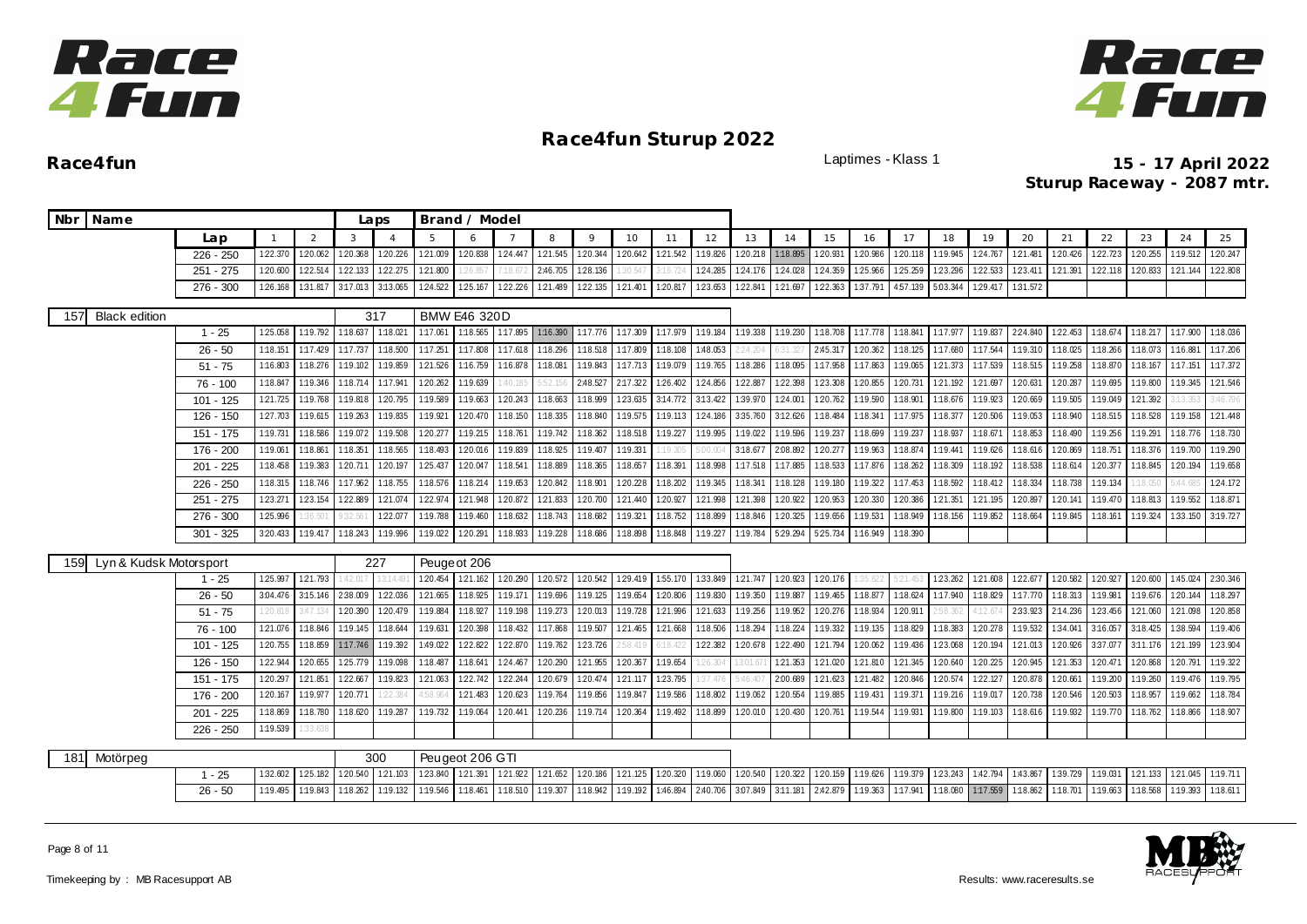



| Nbr Name                      |             |              |          |          | Laps     |          | Brand / Model           |                |                   |                   |                   |          |          |          |          |                   |          |          |          |          |                 |          |          |          |          |          |
|-------------------------------|-------------|--------------|----------|----------|----------|----------|-------------------------|----------------|-------------------|-------------------|-------------------|----------|----------|----------|----------|-------------------|----------|----------|----------|----------|-----------------|----------|----------|----------|----------|----------|
|                               | Lan         | $\mathbf{1}$ | 2        | 3        |          | 5        | 6                       | $\overline{7}$ | 8                 | $\circ$           | 10                | 11       | 12       | 13       | 14       | 15                | 16       | 17       | 18       | 19       | 20              | 21       | 22       | 23       | 24       | 25       |
|                               | $226 - 250$ | 1:22.370     | 1:20.062 | 1:20.368 | 120.226  | 1:21.009 | 120.838                 | 1:24.447       | 121.545           | 1:20.344          | 1:20.642          | 121.542  | 1:19.826 | 1:20.218 | 1:18.895 | 1:20.931          | 1:20.986 | 1:20.118 | 1:19.945 | 124.767  | 1:21.481        | 1:20.426 | 122.723  | 1:20.255 | 1:19.512 | 1:20.247 |
|                               | $251 - 275$ | 1:20.600     | 1:22.514 | 122.133  | 122.275  | 1:21.800 |                         |                | 2:46.705          | 1:28.136          | 30.54             |          | 124.285  | 124.176  | 1:24.028 | 124.359           | 1:25.966 | 1:25.259 | 123.296  | 1:22.533 | 1:23.411        | 121.391  | 1:22.118 | 1:20.833 | 121.144  | 1:22.808 |
|                               | 276 - 300   | 1:26.168     | 1:31.817 | 3:17.013 | 3:13.065 | 124.522  | 125.167                 | 1:22.226       | 121.489           | 122.135           | 121.401           | 1:20.817 | 123.653  | 1:22.841 | 121.697  | 122.363           | 1:37.791 | 4:57.139 | 5:03.344 | 1:29.417 | 1:31.572        |          |          |          |          |          |
| 157<br><b>Black edition</b>   |             |              |          |          | 317      |          | <b>BMW E46 320D</b>     |                |                   |                   |                   |          |          |          |          |                   |          |          |          |          |                 |          |          |          |          |          |
|                               | $1 - 25$    | 1:25.058     | 1:19.792 | 1:18.637 | 1:18.021 | 1:17.061 | 1:18.565                | 1:17.895       |                   | 1:16.390 1:17.776 | 1:17.309          | 1:17.979 | 1:19.184 | 1:19.338 | 1:19.230 | 1:18.708          | 1:17.778 | 1:18.841 | 1:17.977 | 1:19.837 | 224.840         | 1:22.453 | 1:18.674 | 1:18.217 | 1:17.900 | 1:18.036 |
|                               | $26 - 50$   | 1:18.151     | 1:17.429 | 1:17.737 | 1:18.500 | 1:17.251 | 1:17.808                | 1:17.618       | 1:18.296          | 1:18.518          | 1:17.809          | 1:18.108 | 1:48.053 |          |          | 2:45.317          | 1:20.362 | 1:18.125 | 1:17.680 | 1:17.544 | 1:19.310        | 1:18.025 | 1:18.266 | 1:18.073 | 1:16.881 | 1:17.206 |
|                               | $51 - 75$   | 1:16.803     | 1:18.276 | 1:19.102 | 1:19.859 | 1:21.526 | 1:16.759                | 1:16.878       | 1:18.08           | 1:19.843          | 1:17.713          | 1:19.079 | 1:19.765 | 1:18.286 | 1:18.095 | 1:17.958          | 1:17.863 | 1:19.065 | 121.373  | 1:17.539 | 1:18.515        | 1:19.258 | 1:18.870 | 1:18.167 | 1:17.151 | 1:17.372 |
|                               | 76 - 100    | 1:18.847     | 1:19.346 | 1:18.714 | 1:17.941 | 1:20.262 | 1:19.639                | :40.18         | 5:52.15           | 2:48.527          | 2:17.322          | 126.402  | 1:24.856 | 1:22.887 | 1:22.398 | 123.308           | 120.855  | 120.731  | 121.192  | 121.697  | 1:20.631        | 1:20.287 | 1:19.695 | 1:19.800 | 1:19.345 | 121.546  |
|                               | 101 - 125   | 1:21.725     | 1:19.768 | 1:19.818 | 1:20.795 | 1:19.589 | 1:19.663                | 1:20.243       | 1:18.663          | 1:18.999          | 123.635           | 3:14.772 | 3:13.422 | 1:39.970 | 1:24.001 | 1:20.762          | 1:19.590 | 1:18.901 | 1:18.676 | 1:19.923 | 1:20.669        | 1:19.505 | 1:19.049 | 121.392  | 13.353   | 3:46.796 |
|                               | 126 - 150   | 1:27.703     | 1:19.615 | 1:19.263 | 1:19.835 | 1:19.921 | 1:20.470                | 1:18.150       | 1:18.335          | 1:18.840          | 1:19.575          | 1:19.113 | 124.186  | 3:35.760 | 3:12.626 | 1:18.484          | 1:18.341 | 1:17.975 | 1:18.377 | 1:20.506 | 1:19.053        | 1:18.940 | 1:18.515 | 1:18.528 | 1:19.158 | 121.448  |
|                               | 151 - 175   | 1:19.731     | 1:18.586 | 1:19.072 | 1:19.508 | 1:20.277 | 1:19.215                | 1:18.761       | 1:19.742          | 1:18.362          | 1:18.518          | 1:19.227 | 1:19.995 | 1:19.022 | 1:19.596 | 1:19.237          | 1:18.699 | 1:19.237 | 1:18.937 | 1:18.67  | 1:18.853        | 1:18.490 | 1:19.256 | 1:19.291 | 1:18.776 | 1:18.730 |
|                               | 176 - 200   | 1:19.061     | 1:18.861 | 1:18.351 | 1:18.565 | 1:18.493 | 120.016                 | 1:19.839       | 1:18.925          | 1:19.407          | 1:19.331          | :19.305  | :00.00   | 3:18.677 | 2:08.892 | 120.277           | 1:19.963 | 1:18.874 | 1:19.441 | 1:19.626 | 1:18.616        | 120.869  | 1:18.751 | 1:18.376 | 1:19.700 | 1:19.290 |
|                               | $201 - 225$ | 1:18.458     | 1:19.383 | 1:20.711 | 1:20.197 | 125.437  | 1:20.047                | 1:18.541       | 1:18.889          | 1:18.365          | 1:18.657          | 1:18.391 | 1:18.998 | 1:17.518 | 1:17.885 | 1:18.533          | 1:17.876 | 1:18.262 | 1:18.309 | 1:18.192 | 1:18.538        | 1:18.614 | 120.377  | 1:18.845 | 1:20.194 | 1:19.658 |
|                               | 226 - 250   | 1:18.315     | 1:18.746 | 1:17.962 | 1:18.755 | 1:18.576 | 1:18.214                | 1:19.653       | 1:20.842          | 1:18.901          | 1:20.228          | 1:18.202 | 1:19.345 | 1:18.341 | 1:18.128 | 1:19.180          | 1:19.322 | 1:17.453 | 1:18.592 | 1:18.412 | 1:18.334        | 1:18.738 | 1:19.134 | :18.05(  | :44.685  | 124.172  |
|                               | $251 - 275$ | 123.271      | 123.154  | 1:22.889 | 121.074  | 1:22.974 | 121.948                 | 120.872        | 121.833           | 1:20.700          | 1:21.440          | 1:20.927 | 121.998  | 1:21.398 | 120.922  | 120.953           | 1:20.330 | 1:20.386 | 121.351  | 1:21.195 | 1:20.897        | 1:20.141 | 1:19.470 | 1:18.813 | 1:19.552 | 1:18.871 |
|                               | 276 - 300   | 1:25.996     |          | 2.56'    | 122.077  | 1:19.788 | 1:19.460                | 1:18.632       | 1:18.743          | 1:18.682          | 1:19.321          | 1:18.752 | 1:18.899 | 1:18.846 | 120.325  | 1:19.656          | 1:19.531 | 1:18.949 | 1:18.156 | 1:19.852 | 1:18.664        | 1:19.845 | 1:18.161 | 1:19.324 | 1:33.150 | 3:19.727 |
|                               | $301 - 325$ | 3:20.433     | 1:19.417 | 1:18.243 | 1:19.996 | 1:19.022 | 120.291                 | 1:18.933       | 1:19.228          | 1:18.686          | 1:18.898          | 1:18.848 | 1:19.227 | 1:19.784 | 529.294  | 525.734           | 1:16.949 | 1:18.390 |          |          |                 |          |          |          |          |          |
| Lyn & Kudsk Motorsport<br>159 |             |              |          |          | 227      |          | Peuge ot 206            |                |                   |                   |                   |          |          |          |          |                   |          |          |          |          |                 |          |          |          |          |          |
|                               | $1 - 25$    | 1:25.997     | 1:21.793 | 1.42.017 | 13:14.49 | 1:20.454 | 121.162                 | 1:20.290       | 120.572           | 120.542           | 129.419           | 1:55.170 | 1:33.849 | 121.747  | 120.923  | 120.176           | 1:35.622 | 5:21.453 | 123.262  |          | 121.608 122.677 | 1:20.582 | 1:20.927 | 120.600  | 1:45.024 | 2:30.346 |
|                               | $26 - 50$   | 3:04.476     | 3:15.146 | 2:38.009 | 122.036  | 121.665  | 1:18.925                | 1:19.171       | 1:19.696          | 1:19.125          | 1:19.654          | 120.806  | 1:19.830 | 1:19.350 | 1:19.887 | 1:19.465          | 1:18.877 | 1:18.624 | 1:17.940 | 1:18.829 | 1:17.770        | 1:18.313 | 1:19.981 | 1:19.676 | 1:20.144 | 1:18.297 |
|                               | $51 - 75$   | 1:20.818     | 3:47.134 | 1:20.390 | 120.479  | 1:19.884 | 1:18.927                | 1:19.198       | 1:19.273          | 120.013           | 1:19.728          | 121.996  | 121.633  | 1:19.256 | 1:19.952 | 120.276           | 1:18.934 | 1:20.911 | :58.362  | 4:12.67  | 2:33.923        | 2:14.236 | 123.456  | 1:21.060 | 121.098  | 120.858  |
|                               | 76 - 100    | 121.076      | 1:18.846 | 1:19.145 | 1:18.644 | 1:19.631 | 120.398                 | 1:18.432       | 1:17.868          | 1:19.507          | 1:21.465          | 121.668  | 1:18.506 | 1:18.294 | 1:18.224 | 1:19.332          | 1:19.135 | 1:18.829 | 1:18.383 | 120.278  | 1:19.532        | 1:34.041 | 3:16.057 | 3:18.425 | 1:38.594 | 1:19.406 |
|                               | 101 - 125   | 1:20.755     | 1:18.859 | 1:17.746 | 1:19.392 | 1:49.022 | 122.822                 | 1:22.870       | 1:19.762          | 1:23.726          | .58.41            |          | 1:22.382 | 1:20.678 | 1:22.490 | 1:21.794          | 1:20.062 | 1:19.436 | 1:23.068 | 1:20.194 | 121.013         | 1:20.926 | 3:37.077 | 3:11.176 | 1:21.199 | 123.904  |
|                               | 126 - 150   | 1:22.944     | 1:20.655 | 1:25.779 | 1:19.098 | 1:18.487 | 1:18.641                | 1:24.467       | 120.290           | 121.955           | 1:20.367          | 1:19.654 | 26.304   | 13:01.67 | 1:21.353 | 1:21.020          | 1:21.810 | 121.345  | 1:20.640 | 1:20.225 | 1:20.945        | 121.353  | 1:20.471 | 1:20.868 | 120.791  | 1:19.322 |
|                               | 151 - 175   | 1:20.297     | 1:21.851 | 1:22.667 | 1:19.823 | 121.063  | 122.742                 | 122.244        | 120.679           | 120.474           | 121.117           | 123.795  | :37.476  | 5:46.40  | 2:00.689 | 121.623           | 1:21.482 | 120.846  | 120.574  | 122.127  | 120.878         | 120.661  | 1:19.200 | 1:19.260 | 1:19.476 | 1:19.795 |
|                               | 176 - 200   | 1:20.167     | 1:19.977 | 120.771  | 22.384   | :58.964  | 121.483                 | 1:20.623       | 1:19.764          | 1:19.856          | 1:19.847          | 1:19.586 | 1:18.802 | 1:19.062 | 1:20.554 | 1:19.885          | 1:19.431 | 1:19.371 | 1:19.216 | 1:19.017 | 120.738         | 1:20.546 | 1:20.503 | 1:18.957 | 1:19.662 | 1:18.784 |
|                               | 201 - 225   | 1:18.869     | 1:18.780 | 1:18.620 | 1:19.287 | 1:19.732 | 1:19.064                | 1:20.441       | 1:20.236          | 1:19.714          | 1:20.364          | 1:19.492 | 1:18.899 | 1:20.010 | 1:20.430 | 1:20.761          | 1:19.544 | 1:19.931 | 1:19.800 | 1:19.103 | 1:18.616        | 1:19.932 | 1:19.770 | 1:18.762 | 1:18.866 | 1:18.907 |
|                               | 226 - 250   | 1:19.539     | 1:33.63  |          |          |          |                         |                |                   |                   |                   |          |          |          |          |                   |          |          |          |          |                 |          |          |          |          |          |
|                               |             |              |          |          | 300      |          | Peugeot 206 GTI         |                |                   |                   |                   |          |          |          |          |                   |          |          |          |          |                 |          |          |          |          |          |
| 181<br>Motörpeg               | $1 - 25$    | 1:32.602     | 1:25.182 | 1:20.540 | 121.103  |          | 123.840 121.391 121.922 |                | 121.652 120.186   |                   | 121.125 120.320   |          | 1:19.060 | 120.540  | 120.322  | 1:20.159          | 1:19.626 | 1:19.379 | 123.243  | 1:42.794 | 1:43.867        | 1:39.729 | 1:19.031 | 1:21.133 | 121.045  | 1:19.711 |
|                               | $26 - 50$   | 1:19.495     | 1:19.843 | 1:18.262 | 1:19.132 |          | 1:19.546 1:18.461       | 1:18.510       | 1:19.307 1:18.942 |                   | 1:19.192 1:46.894 |          | 2:40.706 | 3.07.849 |          | 3:11.181 2:42.879 | 1:19.363 | 1:17.941 | 1:18.080 | 1:17.559 | 1:18.862        | 1:18.701 | 1:19.663 | 1:18.568 | 1:19.393 | 1:18.611 |
|                               |             |              |          |          |          |          |                         |                |                   |                   |                   |          |          |          |          |                   |          |          |          |          |                 |          |          |          |          |          |

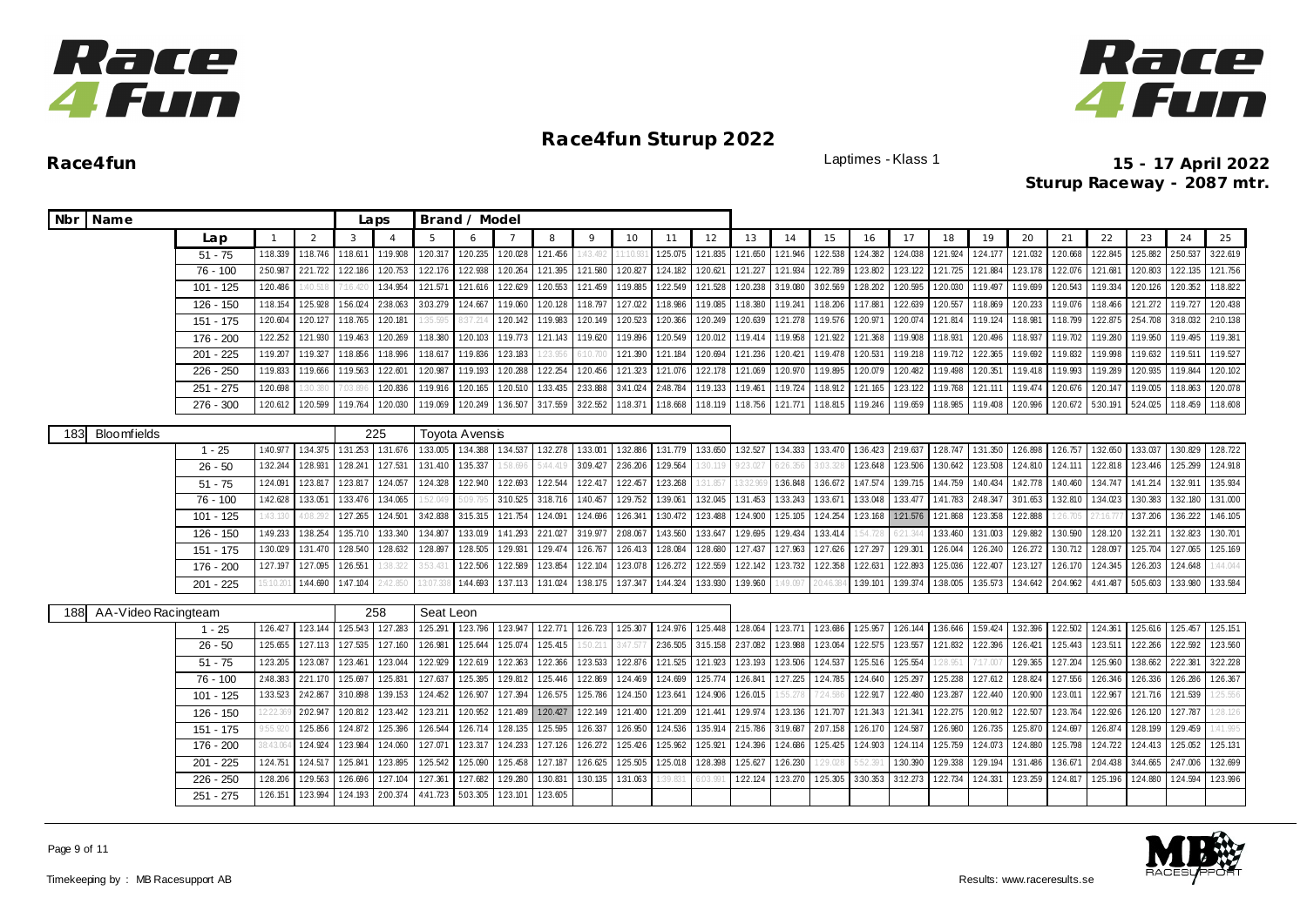



|     | Nbr Name            |             |          |          |                 | Laps           |           | Brand / Model                  |          |          |          |          |          |          |          |          |                 |          |          |          |          |          |          |          |                 |                   |          |
|-----|---------------------|-------------|----------|----------|-----------------|----------------|-----------|--------------------------------|----------|----------|----------|----------|----------|----------|----------|----------|-----------------|----------|----------|----------|----------|----------|----------|----------|-----------------|-------------------|----------|
|     |                     | Lap         |          | 2        | 3               | $\overline{A}$ | 5         |                                |          | 8        | 9        | 10       | 11       | 12       | 13       | 14       | 15              | 16       | 17       | 18       | 19       | 20       | 21       | 22       | 23              | 24                | 25       |
|     |                     | $51 - 75$   | 1:18.339 | 1:18.746 | 1:18.611        | 1:19.908       | 1:20.317  | 1:20.235                       | 1:20.028 | 1:21.456 | :43.492  | 1:10.93  | 1:25.075 | 1:21.835 | 121.650  | 1:21.946 | 122.538         | 124.382  | 124.038  | 121.924  | 124.177  | 121.032  | 1:20.668 | 1:22.845 | 125.882         | 2:50.537          | 3:22.619 |
|     |                     | 76 - 100    | 2:50.987 | 221.722  | 1:22.186        | 1:20.753       | 122.176   | 1:22.938                       | 1:20.264 | 1:21.395 | 121.580  | 1:20.827 | 124.182  | 1:20.621 | 121.227  | 1:21.934 | 1:22.789        | 1:23.802 | 1:23.122 | 1:21.725 | 1:21.884 | 1:23.178 | 122.07   | 121.68   | 1:20.803        | 1:22.135          | 121.756  |
|     |                     | $101 - 125$ | 1:20.486 | 1:40.51  | 7:16.42         | 1:34.954       | 121.571   | 121.616                        | 1:22.629 | 1:20.553 | 1:21.459 | 1:19.885 | 1:22.549 | 1:21.528 | 120.238  | 3:19.080 | 3:02.569        | 1:28.202 | 1:20.595 | 1:20.030 | 1:19.497 | 1:19.699 | 1:20.543 | 1:19.334 | 120.126 120.352 |                   | 1:18.822 |
|     |                     | 126 - 150   | 1:18.154 | 1:25.928 | 1:56.024        | 2:38.063       | 3:03.279  | 124.667                        | 1:19.060 | 1:20.128 | 1:18.797 | 1:27.022 | 1:18.986 | 1:19.085 | 1:18.380 | 1:19.241 | 1:18.206        | 1:17.881 | 122.639  | 1:20.557 | 1:18.869 | 1:20.233 | 1:19.076 | 1:18.466 | 121.272         | 1:19.727          | 1:20.438 |
|     |                     | 151 - 175   | 1:20.604 | 1:20.127 | 1:18.765        | 1:20.181       | 1:35.595  | 3:37.21                        | 1:20.142 | 1:19.983 | 1:20.149 | 1:20.523 | 120.366  | 1:20.249 | 1:20.639 | 121.278  | 1:19.576        | 1:20.971 | 1:20.074 | 1:21.814 | 1:19.124 | 1:18.981 | 1:18.799 | 122.875  | 2.54.708        | 3:18.032          | 2:10.138 |
|     |                     | 176 - 200   | 1:22.252 | 121.930  | 1:19.463        | 1:20.269       | 1:18.380  | 120.103                        | 1:19.773 | 121.143  | 1:19.620 | 1:19.896 | 1:20.549 | 1:20.012 | 1:19.414 | 1:19.958 | 121.922         | 1:21.368 | 1:19.908 | 1:18.931 | 1:20.496 | 1:18.937 | 1:19.702 | 1:19.280 | 1:19.950        | 1:19.495          | 1:19.381 |
|     |                     | 201 - 225   | 1:19.207 | 1:19.327 | 1:18.856        | 1:18.996       | 1:18.617  | 1:19.836                       | 1:23.183 | 23.95    | (10.700) | 121.390  | 121.184  | 1:20.694 | 121.236  | 1:20.421 | 1:19.478        | 1:20.531 | 1:19.218 | 1:19.712 | 1:22.365 | 1:19.692 | 1:19.832 | 1:19.998 | 1:19.632        | 1:19.511          | 1:19.527 |
|     |                     | $226 - 250$ | 1:19.833 | 1:19.666 | 1:19.563        | 1:22.601       | 1:20.987  | 1:19.193                       | 1:20.288 | 1:22.254 | 120.456  | 1:21.323 | 121.076  | 1:22.178 | 121.069  | 1:20.970 | 1:19.895        | 1:20.079 | 1:20.482 | 1:19.498 | 1:20.351 | 1:19.418 | 1:19.993 | 1:19.289 | 1:20.935        | 1:19.844          | 1:20.102 |
|     |                     | 251 - 275   | 1:20.698 | 30.38    | 1:03.896        | 1:20.836       | 1:19.916  | 1:20.165                       | 1:20.510 | 1:33.435 | 2:33.888 | 3:41.024 | 2:48.784 | 1:19.133 | 1:19.461 | 1:19.724 | 1:18.912        | 1:21.165 | 123.122  | 1:19.768 | 121.111  | 1:19.474 | 1:20.676 | 1:20.147 | 1:19.005        | 1:18.863          | 1:20.078 |
|     |                     | $276 - 300$ | 1:20.612 | 1:20.599 | 1:19.764        | 120.030        | 1:19.069  | 1:20.249                       | 1:36.507 | 3:17.559 | 3:22.552 | 1:18.371 | 1:18.668 | 1:18.119 | 1:18.756 | 121.771  | 1:18.815        | 1:19.246 | 1:19.659 | 1:18.985 | 1:19.408 | 1:20.996 | 1:20.672 | 5:30.191 | 5:24.025        | 1:18.459          | 1:18.608 |
| 183 | <b>Bloomfields</b>  |             |          |          |                 | 225            |           | Toyota Avensis                 |          |          |          |          |          |          |          |          |                 |          |          |          |          |          |          |          |                 |                   |          |
|     |                     | $1 - 25$    | 1:40.977 | 1:34.375 | 131.253 131.676 |                |           | 1:33.005   1:34.388   1:34.537 |          | 1:32.278 | 1:33.001 | 1:32.886 | 1:31.779 | 1:33.650 | 1:32.527 |          | 134.333 133.470 | 1:36.423 | 2:19.637 | 1:28.747 | 1:31.350 | 1:26.898 | 1:26.757 | 1:32.650 | 1:33.037        | 1:30.829          | 1:28.722 |
|     |                     | $26 - 50$   | 1:32.244 | 1:28.931 | 1:28.241        | 127.531        | 1:31.410  | 1:35.337                       | 58.696   | 5:44.41  | 3.09.427 | 2:36.206 | 1:29.564 | :30.119  | 9:23.027 | 6:26.356 | 3:03.328        | 123.648  | 123.506  | 1:30.642 | 123.508  | 1:24.810 | 124.111  | 122.818  | 123.446         | 1:25.299          | 124.918  |
|     |                     | $51 - 75$   | 1:24.091 | 1:23.817 | 123.817         | 1:24.057       | 1:24.328  | 1:22.940                       | 1:22.693 | 1:22.544 | 1:22.417 | 1:22.457 | 123.268  | 31.85    |          | 1:36.848 | 1:36.672        | 1:47.574 | 1:39.715 | 1:44.759 | 1:40.434 | 1:42.778 | 1:40.460 | 1:34.747 | 1:41.214        | 1:32.911          | 1:35.934 |
|     |                     | 76 - 100    | 1:42.628 | 1:33.051 | 1:33.476        | 1:34.065       | 52.049    | 5:09.79                        | 3:10.525 | 3:18.716 | 1:40.457 | 1:29.752 | 1:39.061 | 1:32.045 | 1:31.453 | 1:33.243 | 1:33.671        | 1:33.048 | 1:33.477 | 1:41.783 | 2:48.347 | 3:01.653 | 1:32.810 | 1:34.023 | 1:30.383        | 1:32.180          | 1:31.000 |
|     |                     | $101 - 125$ | :43.13   | 4:08.2   | 127.265         | 1:24.501       | 3:42.838  | 3:15.315 121.754               |          | 1:24.091 | 124.696  | 126.341  | 1:30.472 | 123.488  | 1:24.900 | 1:25.105 | 124.254         | 123.168  | 121.576  | 121.868  | 123.358  | 1:22.888 | 1:26.70  |          | 1:37.206        | 1:36.222          | 1:46.105 |
|     |                     | 126 - 150   | 1:49.233 | 1:38.254 | 1:35.710        | 1:33.340       | 1:34.807  | 1:33.019                       | 1:41.293 | 2:21.027 | 3:19.977 | 2.08.067 | 1:43.560 | 1:33.647 | 129.695  | 129.434  | 133.414         | 54.728   | 6:21.344 | 1:33.460 | 1:31.003 | 1:29.882 | 1:30.590 | 1:28.120 | 1:32.211        | 1:32.823          | 1:30.701 |
|     |                     | 151 - 175   | 1:30.029 | 1:31.470 | 128.540         | 128.632        | 1:28.897  | 128.505 129.931                |          | 129.474  | 126.767  | 126.413  | 1:28.084 | 1:28.680 | 127.437  | 127.963  | 127.626         | 127.297  | 129.301  | 126.044  | 126.240  | 126.272  | 1:30.712 | 128.097  | 125.704         | 127.065           | 1:25.169 |
|     |                     | 176 - 200   | 127.197  | 127.095  | 126.551         | 38.322         | 3:53.431  | 122.506 122.589                |          | 123.854  | 122.104  | 123.078  | 126.272  | 1:22.559 | 122.142  | 123.732  | 122.358         | 122.631  | 122.893  | 125.036  | 122.407  | 1:23.127 | 126.170  | 124.345  | 126.203         | 124.648           | 1:44.044 |
|     |                     | $201 - 225$ | 5:10.20  | 1:44.690 | 1:47.104        | 2:42.850       | 3:07.3    | 1:44.693                       | 1:37.113 | 1:31.024 | 1:38.175 | 1:37.347 | 1:44.324 | 1:33.930 | 1:39.960 | 1:49.097 | 20:46.38        | 1:39.101 | 1:39.374 | 1:38.005 | 1:35.573 | 1:34.642 | 2:04.962 | 4:41.487 |                 | 5.05.603 1.33.980 | 1:33.584 |
|     |                     |             |          |          |                 |                |           |                                |          |          |          |          |          |          |          |          |                 |          |          |          |          |          |          |          |                 |                   |          |
| 188 | AA-Video Racingteam |             |          |          |                 | 258            | Seat Leon |                                |          |          |          |          |          |          |          |          |                 |          |          |          |          |          |          |          |                 |                   |          |
|     |                     | $1 - 25$    | 1:26.427 | 123.144  | 1:25.543        | 127.283        | 125.291   | 123.796 123.947                |          | 122.771  | 126.723  | 1:25.307 | 124.976  | 125.448  | 128.064  | 123.771  | 123.686         | 1:25.957 | 126.144  | 1:36.646 | 1:59.424 | 1:32.396 | 1:22.502 | 1:24.361 | 125.616         | 125.457           | 1:25.151 |
|     |                     | $26 - 50$   | 1:25.655 | 127.113  | 1:27.535        | 127.160        | 1:26.981  | 125.644                        | 125.074  | 125.415  | 50.211   | 3:47.577 | 2:36.505 | 3:15.158 | 2:37.082 | 1:23.988 | 123.064         | 122.575  | 123.557  | 1:21.832 | 1:22.396 | 126.421  | 125.443  | 123.511  |                 | 122.266 122.592   | 1:23.560 |
|     |                     | $51 - 75$   | 1:23.205 | 1:23.087 | 1:23.461        | 123.044        | 122.929   | 122.619                        | 122.363  | 122.366  | 123.533  | 122.876  | 121.525  | 121.923  | 123.193  | 123.506  | 124.537         | 1:25.516 | 1:25.554 | 28.95    | 7:17.00  | 1:29.365 | 1:27.204 | 1:25.960 | 1:38.662        | 2:22.381          | 3:22.228 |
|     |                     | 76 - 100    | 2:48.383 | 221.170  | 1:25.697        | 1:25.831       | 127.637   | 1:25.395                       | 1:29.812 | 1:25.446 | 1:22.869 | 124.469  | 1:24.699 | 1:25.774 | 126.841  | 127.225  | 1:24.785        | 1:24.640 | 1:25.297 | 1:25.238 | 127.612  | 1:28.824 | 1:27.556 | 1:26.346 | 126.336         | 126.286           | 1:26.367 |
|     |                     | 101 - 125   | 1:33.523 | 2:42.867 | 3:10.898        | 1:39.153       | 1:24.452  | 126.907                        | 127.394  | 1:26.575 | 125.786  | 124.150  | 123.641  | 1:24.906 | 126.015  | 1:55.278 | 7:24.586        | 1:22.917 | 122.480  | 1:23.287 | 122.440  | 1:20.900 | 1:23.011 | 1:22.967 |                 | 121.716 121.539   | 1:25.556 |
|     |                     | 126 - 150   | 2:22.36  | 2:02.947 | 1:20.812        | 123.442        | 123.211   | 1:20.952                       | 1:21.489 | 120.427  | 1:22.149 | 1:21.400 | 1:21.209 | 1:21.441 | 129.974  | 123.136  | 121.707         | 1:21.343 | 1:21.341 | 1:22.275 | 1:20.912 | 1:22.507 | 123.764  | 122.926  | 1:26.120        | 127.787           | 28.126   |
|     |                     | 151 - 175   | 755.92   | 1:25.856 | 1:24.872        | 1:25.396       | 1:26.544  | 126.714                        | 1:28.135 | 1:25.595 | 1:26.337 | 1:26.950 | 1:24.536 | 1:35.914 | 2:15.786 | 3:19.687 | 2.07.158        | 1:26.170 | 1:24.587 | 1:26.980 | 126.735  | 1:25.870 | 124.697  | 1:26.874 | 1:28.199        | 1:29.459          | :41.995  |
|     |                     | 176 - 200   | 8:43.06  | 1:24.924 | 1:23.984        | 1:24.060       | 1:27.071  | 1:23.317                       | 124.233  | 1:27.126 | 126.272  | 1:25.426 | 1:25.962 | 1:25.921 | 124.396  | 1:24.686 | 125.425         | 124.903  | 124.114  | 1:25.759 | 1:24.073 | 1:24.880 | 1:25.798 | 124.722  | 124.413         | 1:25.052          | 125.131  |
|     |                     | $201 - 225$ | 1:24.751 | 124.517  | 1:25.841        | 123.895        | 125.542   | 1:25.090                       | 125.458  | 127.18   | 1:26.625 | 1:25.505 | 1:25.018 | 1:28.398 | 125.627  | 1:26.230 |                 |          | 1:30.390 | 1:29.338 | 1:29.194 | 1:31.486 | 1:36.67  | 2:04.438 | 3:44.665        | 2:47.006          | 1:32.699 |
|     |                     | $226 - 250$ | 1:28.206 | 1:29.563 | 1:26.696        | 1:27.104       | 127.361   | 127.682                        | 1:29.280 | 1:30.83  | 1:30.135 | 1:31.063 | 39.831   | 5:03.99  | 1:22.124 | 1:23.270 | 125.305         | 3:30.353 | 3:12.273 | 122.734  | 124.331  | 1:23.259 | 1:24.81  | 1:25.196 | 1:24.880        | 1:24.594          | 123.996  |
|     |                     | $251 - 275$ | 1:26.151 | 1:23.994 | 124.193 200.374 |                |           | 4:41.723 5:03.305 1:23.101     |          | 123.605  |          |          |          |          |          |          |                 |          |          |          |          |          |          |          |                 |                   |          |

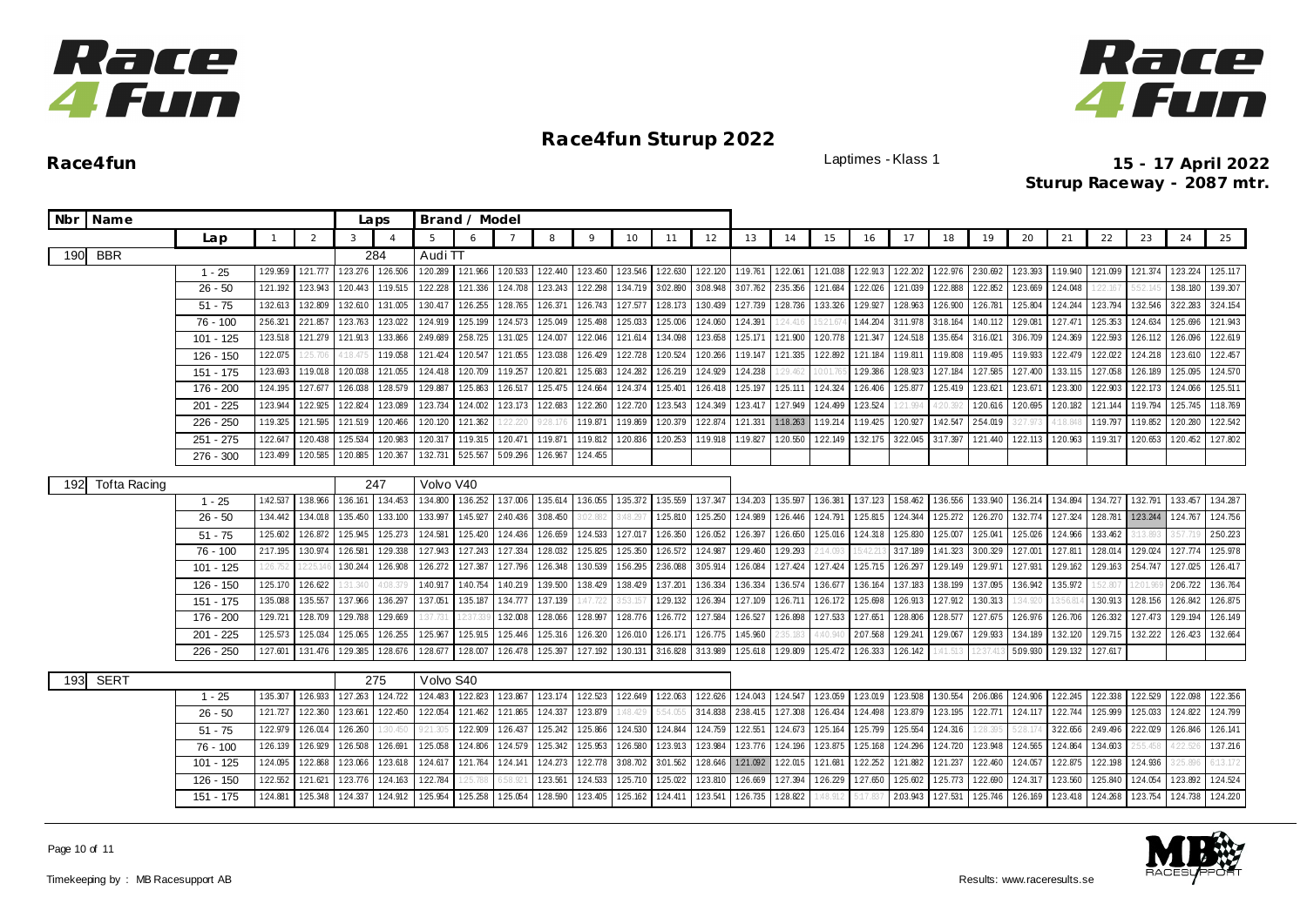



|     | Nbr Name            |                       |              |          |          | Laps           |                       | Brand / Model   |          |          |          |          |                   |          |          |          |          |          |          |          |                  |                 |          |          |                 |          |          |
|-----|---------------------|-----------------------|--------------|----------|----------|----------------|-----------------------|-----------------|----------|----------|----------|----------|-------------------|----------|----------|----------|----------|----------|----------|----------|------------------|-----------------|----------|----------|-----------------|----------|----------|
|     |                     | Lap                   | $\mathbf{1}$ | 2        | 3        | $\overline{4}$ |                       | 6               |          | 8        | 9        | 10       | 11                | 12       | 13       | 14       | 15       | 16       | 17       | 18       | 19               | 20              | 21       | 22       | 23              | 24       | 25       |
| 190 | <b>BBR</b>          |                       |              |          |          | 284            | Audi $\overline{T}$   |                 |          |          |          |          |                   |          |          |          |          |          |          |          |                  |                 |          |          |                 |          |          |
|     |                     | $1 - 25$              | 129.959      | 121.77   | 123.276  | 1:26.506       | 1:20.289              | 121.966         | 120.533  | 1:22.440 | 1:23.450 | 123.546  | 122.630           | 1:22.120 | 1:19.761 | 1:22.061 | 1:21.038 | 122.913  | 122.202  | 122.976  | 2:30.692         | 123.393         | 1:19.940 | 1:21.099 | 1:21.374        | 123.224  | 125.117  |
|     |                     | $26 - 50$             | 1:21.192     | 1:23.943 | 1:20.443 | 1:19.515       | 1:22.228              | 1:21.336        | 1:24.708 | 1:23.243 | 1:22.298 | 1:34.719 | 3:02.890          | 3.08.948 | 3:07.762 | 2:35.356 | 1:21.684 | 1:22.026 | 1:21.039 | 1:22.888 | 1:22.852         | 1:23.669        | 1:24.048 | 22.167   | 52.             | 1:38.180 | 1:39.307 |
|     |                     | $51 - 75$             | 1:32.613     | 1:32.809 | 1:32.610 | 1:31.005       | 1:30.417              | 1:26.255        | 128.765  | 126.371  | 126.743  | 127.577  | 128.173           | 1:30.439 | 127.739  | 128.736  | 1:33.326 | 129.927  | 1:28.963 | 126.900  | 1:26.781         | 125.804         | 1:24.244 | 1:23.794 | 1:32.546        | 322.283  | 3:24.154 |
|     |                     | 76 - 100              | 2:56.321     | 2:21.857 | 123.763  | 123.022        | 1:24.919              | 1:25.199        | 124.573  | 1:25.049 | 125.498  | 1:25.033 | 125.006           | 1:24.060 | 124.391  | 24.416   | 5:21.0   | 1:44.204 | 3:11.978 | 3:18.164 | 1:40.112         | 1:29.081        | 127.471  | 1:25.353 | 124.634         | 125.696  | 121.943  |
|     |                     | $101 - 125$           | 1:23.518     | 121.279  | 121.913  | 1:33.866       | 2:49.689              | 2:58.725        | 1:31.025 | 1:24.007 | 1:22.046 | 121.614  | 1:34.098          | 1:23.658 | 125.171  | 1:21.900 | 1:20.778 | 121.347  | 124.518  | 1:35.654 | 3:16.021         | 3:06.709        | 1:24.369 | 1:22.593 | 126.112         | 126.096  | 1:22.619 |
|     |                     | $126 - 150$           | 1:22.075     | 125.70   | 4:18.475 | 1:19.058       | 121.424               | 1:20.547        | 121.055  | 1:23.038 | 1:26.429 | 1:22.728 | 1:20.524          | 1:20.266 | 1:19.147 | 121.335  | 122.892  | 1:21.184 | 1:19.811 | 1:19.808 | 1:19.495         | 1:19.933        | 1:22.479 | 122.022  | 124.218         | 123.610  | 122.457  |
|     |                     | 151 - 175             | 1:23.693     | 1:19.018 | 1:20.038 | 1:21.055       | 1:24.418              | 1:20.709        | 1:19.257 | 1:20.821 | 125.683  | 124.282  | 126.219           | 1:24.929 | 124.238  | 29.462   | 0:01     | 1:29.386 | 128.923  | 1:27.184 | 1:27.585         | 1:27.400        | 1:33.115 | 1:27.058 | 1:26.189        | 1:25.095 | 124.570  |
|     |                     | 176 - 200             | 124.195      | 127.67   | 126.038  | 1:28.579       | 1:29.887              | 1:25.863        | 1:26.517 | 1:25.475 | 124.664  | 1:24.374 | 1:25.401          | 1:26.418 | 1:25.197 | 1:25.111 | 1:24.324 | 1:26.406 | 1:25.877 | 1:25.419 | 123.62           | 123.671         | 1:23.300 | 1:22.903 | 1:22.173        | 1:24.066 | 1:25.511 |
|     |                     | $201 - 225$           | 1:23.944     | 1:22.925 | 1:22.824 | 123.089        | 123.734               | 1:24.002        | 123.173  | 1:22.683 | 1:22.260 | 1:22.720 | 123.543           | 1:24.349 | 123.417  | 1:27.949 | 1:24.499 | 123.524  | 1:21.99  | 4:20.392 | 120.616 120.695  |                 | 1:20.182 | 121.144  | 1:19.794        | 125.745  | 1:18.769 |
|     |                     | $226 - 250$           | 1:19.325     | 1:21.595 | 1:21.519 | 1:20.466       | 1:20.120              | 121.362         | 22.220   | 928.17   | 1:19.871 | 1:19.869 | 1:20.379          | 1:22.874 | 1:21.331 | 1:18.263 | 1:19.214 | 1:19.425 | 1:20.927 | 1:42.547 | 2:54.019         | 27.973          | 1:18.84  | 1:19.797 | 1:19.852        | 1:20.280 | 1:22.542 |
|     |                     | $251 - 275$           | 1:22.647     | 1:20.438 | 1:25.534 | 1:20.983       | 1:20.317              | 1:19.315        | 1:20.471 | 1:19.871 | 1:19.812 | 1:20.836 | 1:20.253          | 1:19.918 | 1:19.827 | 1:20.550 | 1:22.149 | 1:32.175 | 3:22.045 | 3:17.397 | 121.440 122.113  |                 | 1:20.963 | 1:19.317 | 1:20.653        | 1:20.452 | 1:27.802 |
|     |                     | $276 - 300$           | 1:23.499     | 1:20.585 | 1:20.885 | 120.367        | 1:32.731              | 5:25.567        | 5.09.296 | 1:26.967 | 1:24.455 |          |                   |          |          |          |          |          |          |          |                  |                 |          |          |                 |          |          |
| 192 | <b>Tofta Racing</b> |                       |              |          |          | 247            | Volvo V40             |                 |          |          |          |          |                   |          |          |          |          |          |          |          |                  |                 |          |          |                 |          |          |
|     |                     | $1 - 25$              | 1:42.537     | 1:38.966 | 1:36.161 | 1:34.453       | 1:34.800              | 1:36.252        | 1:37.006 | 1:35.614 | 1:36.055 | 1:35.372 | 1:35.559          | 1:37.347 | 1:34.203 | 1:35.597 | 1:36.381 | 1:37.123 | 1:58.462 | 1:36.556 | 1:33.940         | 1:36.214        | 1:34.894 | 1:34.727 | 1:32.791        | 1:33.457 | 1:34.287 |
|     |                     | $26 - 50$             | 1:34.442     | 1:34.018 | 1:35.450 | 1:33.100       | 1:33.997              | 1:45.927        | 2:40.436 | 3:08.450 | 3:02.882 | 3:48.297 | 1:25.810          | 1:25.250 | 1:24.989 | 1:26.446 | 1:24.791 | 1:25.815 | 124.344  | 125.272  | 126.270          | 1:32.774        | 1:27.324 | 1:28.781 | 123.244 124.767 |          | 124.756  |
|     |                     | $51 - 75$             | 1:25.602     | 1:26.872 | 1:25.945 | 1:25.273       | 1:24.581              | 1:25.420        | 124.436  | 1:26.659 | 124.533  | 1:27.017 | 1:26.350          | 1:26.052 | 1:26.397 | 1:26.650 | 125.016  | 1:24.318 | 1:25.830 | 1:25.007 | 1:25.041         | 1:25.026        | 1:24.966 | 1:33.462 | (13.89)         |          | 2:50.223 |
|     |                     | 76 - 100              | 2:17.195     | 1:30.974 | 1:26.581 | 1:29.338       | 1:27.943              | 1:27.243        | 127.334  | 1:28.032 | 1:25.825 | 1:25.350 | 1:26.572          | 1:24.987 | 1:29.460 | 1:29.293 | : 14.091 | :42.2    | 3:17.189 | 1:41.323 | 3:00.329         | 1:27.001        | 1:27.81  | 1:28.014 | 1:29.024        | 127.774  | 1:25.978 |
|     |                     | 101 - 125             | 26.752       | 2:25.    | 1:30.244 | 1:26.908       | 1:26.272              | 127.387         | 1:27.796 | 1:26.348 | 1:30.539 | 1:56.295 | 2:36.088          | 3:05.914 | 1:26.084 | 1:27.424 | 1:27.424 | 1:25.715 | 126.297  | 1:29.149 | 1:29.971         | 1:27.931        | 1:29.162 | 1:29.163 | 2:54.747        | 1:27.025 | 1:26.417 |
|     |                     | $126 - 150$           | 1:25.170     | 126.622  | 31.34    | 1.08.3         | 1:40.91               | 1:40.754        | 1:40.219 | 1:39.500 | 1:38.429 | 1:38.429 | 1:37.201          | 1:36.334 | 1:36.334 | 1:36.574 | 1:36.677 | 1:36.164 | 1:37.183 | 1:38.199 | 1:37.095         | 1:36.942        | 1:35.972 | 52.80    | 2:01.9          | 2:06.722 | 1:36.764 |
|     |                     | 151 - 175             | 1:35.088     | 1:35.557 | 1:37.966 | 1:36.297       | 1:37.051              | 1:35.187        | 134.777  | 1:37.139 |          | 3:53.15  | 1:29.132          | 1:26.394 | 1:27.109 | 1:26.711 | 1:26.172 | 1:25.698 | 1:26.913 | 1:27.912 | 1:30.313         | 34.92           | 3:56.8   | 1:30.913 | 1:28.156        | 126.842  | 126.875  |
|     |                     | 176 - 200             | 1:29.721     | 1:28.709 | 1:29.788 | 1:29.669       | 37.731                | 2:37.3          | 1:32.008 | 1:28.066 | 1:28.997 | 1:28.776 | 126.772           | 1:27.584 | 1:26.527 | 1:26.898 | 1:27.533 | 1:27.651 | 1:28.806 | 1:28.577 |                  | 127.675 126.976 | 1:26.706 | 1:26.332 | 127.473         | 1:29.194 | 1:26.149 |
|     |                     | $201 - 225$           | 125.573      | 1:25.034 | 1:25.065 | 1:26.255       | 1:25.967              | 125.915         | 125.446  | 125.316  | 1:26.320 | 126.010  | 126.171           | 126.775  | 1:45.960 | :35.183  | 1:40.9   | 2:07.568 | 1:29.241 | 129.067  | 1:29.933         | 1:34.189        | 1:32.120 | 129.715  | 132.222         | 1:26.423 | 1:32.664 |
|     |                     | 226 - 250             | 1:27.601     | 1:31.476 | 1:29.385 | 128.676        | 128.677               | 128.007         | 1:26.478 | 125.397  | 127.192  | 1:30.131 | 3:16.828 3:13.989 |          | 1:25.618 | 1:29.809 | 125.472  | 126.333  | 1:26.142 | 1:41.513 | 12:37.4          | 5:09.930        | 1:29.132 | 1:27.617 |                 |          |          |
|     |                     |                       |              |          |          |                |                       |                 |          |          |          |          |                   |          |          |          |          |          |          |          |                  |                 |          |          |                 |          |          |
| 193 | <b>SERT</b>         |                       | 1:35.307     | 126.933  | 1:27.263 | 275<br>124.722 | Volvo S40<br>1:24.483 | 1:22.823        | 123.867  | 123.174  | 1:22.523 | 1:22.649 | 122.063           | 122.626  | 1:24.043 | 1:24.547 | 123.059  | 123.019  | 123.508  | 1:30.554 | 2.06.086 124.906 |                 | 122.245  | 1:22.338 | 1:22.529        | 122.098  | 1:22.356 |
|     |                     | $1 - 25$<br>$26 - 50$ | 1:21.727     | 1:22.360 | 1:23.661 | 1:22.450       | 122.054               | 121.462         | 1:21.865 | 1:24.337 | 1:23.879 | :48.429  | 5:54.055          | 3:14.838 | 2:38.415 | 1:27.308 | 126.434  | 1:24.498 | 123.879  | 1:23.195 | 122.771 124.117  |                 | 122.744  | 1:25.999 | 125.033         | 124.822  | 1:24.799 |
|     |                     | $51 - 75$             | 1:22.979     | 1:26.014 | 1:26.260 | 30.450         | 9:21.305              | 122.909         | 126.437  | 125.242  | 125.866  | 1:24.530 | 124.844           | 124.759  | 1:22.551 | 1:24.673 | 1:25.164 | 1:25.799 | 125.554  | 124.316  | 1:28.395         | 5:28.174        | 322.656  | 2:49.496 | 2:22.029        | 126.846  | 126.141  |
|     |                     | 76 - 100              | 1:26.139     | 1:26.929 | 1:26.508 | 126.691        | 1:25.058              | 1:24.806        | 124.579  | 1:25.342 | 125.953  | 126.580  | 123.913           | 123.984  | 123.776  | 124.196  | 123.875  | 125.168  | 124.296  | 124.720  | 123.948 124.565  |                 | 1:24.864 | 1:34.603 | 2:55.45         | 1:22.526 | 1:37.216 |
|     |                     | $101 - 125$           | 1:24.095     | 1:22.868 | 123.066  | 1:23.618       | 1:24.617              | 121.764 124.141 |          | 1:24.273 | 1:22.778 | 3.08.702 | 3:01.562          | 1:28.646 | 1:21.092 | 1:22.015 | 121.681  | 1:22.252 | 1:21.882 | 121.237  | 122.460          | 124.057         | 1:22.875 | 122.198  | 1:24.936        | 25.896   | 6:13.172 |
|     |                     | 126 - 150             | 1:22.552     | 121.62   | 123.776  | 124.163        | 1:22.784              | 25.78           |          | 1:23.561 | 1:24.533 | 1:25.710 | 1:25.022          | 1:23.810 | 1:26.669 | 1:27.394 | 126.229  | 1:27.650 | 1:25.602 | 1:25.773 | 1:22.690         | 124.317         | 1:23.560 | 1:25.840 | 1:24.054        | 123.892  | 1:24.524 |
|     |                     | 151 - 175             | 1:24.881     | 1:25.348 | 124.337  | 124.912        | 1:25.954              | 1:25.258        | 1:25.054 | 1:28.590 | 1:23.405 | 1:25.162 | 1:24.411          | 123.541  | 1:26.735 | 1:28.822 | 1:48.91  |          | 2:03.943 | 1:27.531 | 125.746 126.169  |                 | 1:23.418 | 1:24.268 | 123.754         | 124.738  | 124.220  |
|     |                     |                       |              |          |          |                |                       |                 |          |          |          |          |                   |          |          |          |          |          |          |          |                  |                 |          |          |                 |          |          |